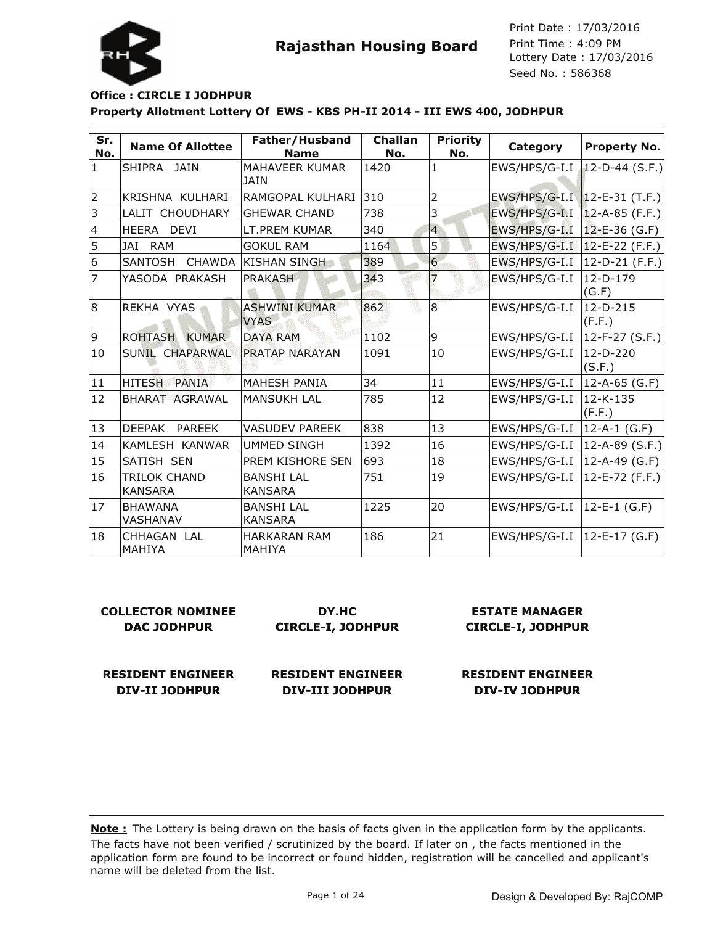

#### **Property Allotment Lottery Of EWS - KBS PH-II 2014 - III EWS 400, JODHPUR Office : CIRCLE I JODHPUR**

| Sr.<br>No.     | <b>Name Of Allottee</b>           | Father/Husband<br><b>Name</b>        | <b>Challan</b><br>No. | <b>Priority</b><br>No. | <b>Category</b> | <b>Property No.</b>  |
|----------------|-----------------------------------|--------------------------------------|-----------------------|------------------------|-----------------|----------------------|
| $\mathbf{1}$   | İSHIPRA JAIN                      | <b>MAHAVEER KUMAR</b><br><b>JAIN</b> | 1420                  | $\mathbf{1}$           | EWS/HPS/G-I.I   | 12-D-44 $(S.F.)$     |
| 2              | KRISHNA KULHARI                   | RAMGOPAL KULHARI                     | 310                   | $\overline{2}$         | EWS/HPS/G-I.I   | $12 - E - 31$ (T.F.) |
| 3              | LALIT CHOUDHARY                   | <b>GHEWAR CHAND</b>                  | 738                   | 3                      | EWS/HPS/G-I.I   | $12 - A - 85$ (F.F.) |
| $\overline{4}$ | HEERA DEVI                        | LT.PREM KUMAR                        | 340                   | $\overline{4}$         | EWS/HPS/G-I.I   | $12 - E - 36$ (G.F)  |
| 5              | JAI<br>RAM                        | <b>GOKUL RAM</b>                     | 1164                  | 5                      | EWS/HPS/G-I.I   | 12-E-22 (F.F.)       |
| 6              | <b>SANTOSH</b><br><b>CHAWDA</b>   | KISHAN SINGH                         | 389                   | 6                      | EWS/HPS/G-I.I   | 12-D-21 (F.F.)       |
| 7              | YASODA PRAKASH                    | <b>PRAKASH</b>                       | 343                   | 7                      | EWS/HPS/G-I.I   | $12-D-179$<br>(G.F)  |
| 8              | REKHA VYAS                        | ASHWINI KUMAR<br><b>VYAS</b>         | 862                   | $\overline{8}$         | EWS/HPS/G-I.I   | $12-D-215$<br>(F.F.) |
| 9              | <b>KUMAR</b><br><b>ROHTASH</b>    | <b>DAYA RAM</b>                      | 1102                  | 9                      | EWS/HPS/G-I.I   | $12-F-27 (S.F.)$     |
| 10             | SUNIL CHAPARWAL                   | <b>PRATAP NARAYAN</b>                | 1091                  | 10                     | EWS/HPS/G-I.I   | 12-D-220<br>(S.F.)   |
| $ 11\rangle$   | <b>HITESH</b><br><b>PANIA</b>     | <b>MAHESH PANIA</b>                  | 34                    | 11                     | EWS/HPS/G-I.I   | 12-A-65 (G.F)        |
| 12             | <b>BHARAT AGRAWAL</b>             | <b>MANSUKH LAL</b>                   | 785                   | 12                     | EWS/HPS/G-I.I   | 12-K-135<br>(F.F.)   |
| 13             | DEEPAK<br><b>PAREEK</b>           | <b>VASUDEV PAREEK</b>                | 838                   | 13                     | EWS/HPS/G-I.I   | 12-A-1 (G.F)         |
| 14             | KAMLESH KANWAR                    | UMMED SINGH                          | 1392                  | 16                     | EWS/HPS/G-I.I   | 12-A-89 (S.F.)       |
| 15             | SATISH SEN                        | PREM KISHORE SEN                     | 693                   | 18                     | EWS/HPS/G-I.I   | 12-A-49 (G.F)        |
| 16             | TRILOK CHAND<br>KANSARA           | <b>BANSHI LAL</b><br><b>KANSARA</b>  | 751                   | 19                     | EWS/HPS/G-I.I   | 12-E-72 (F.F.)       |
| 17             | <b>BHAWANA</b><br><b>VASHANAV</b> | <b>BANSHI LAL</b><br><b>KANSARA</b>  | 1225                  | 20                     | EWS/HPS/G-I.I   | 12-E-1 (G.F)         |
| 18             | CHHAGAN LAL<br>MAHIYA             | <b>HARKARAN RAM</b><br>MAHIYA        | 186                   | 21                     | EWS/HPS/G-I.I   | 12-E-17 (G.F)        |

| <b>COLLECTOR NOMINEE</b> | DY.HC                    | <b>ESTATE MANAGER</b>    |
|--------------------------|--------------------------|--------------------------|
| DAC JODHPUR              | <b>CIRCLE-I, JODHPUR</b> | <b>CIRCLE-I, JODHPUR</b> |
|                          |                          |                          |
|                          |                          |                          |
| <b>RESIDENT ENGINEER</b> | <b>RESIDENT ENGINEER</b> | <b>RESIDENT ENGINEER</b> |

**DIV-II JODHPUR**

**RESIDENT ENGINEER DIV-III JODHPUR**

**RESIDENT ENGINEER DIV-IV JODHPUR**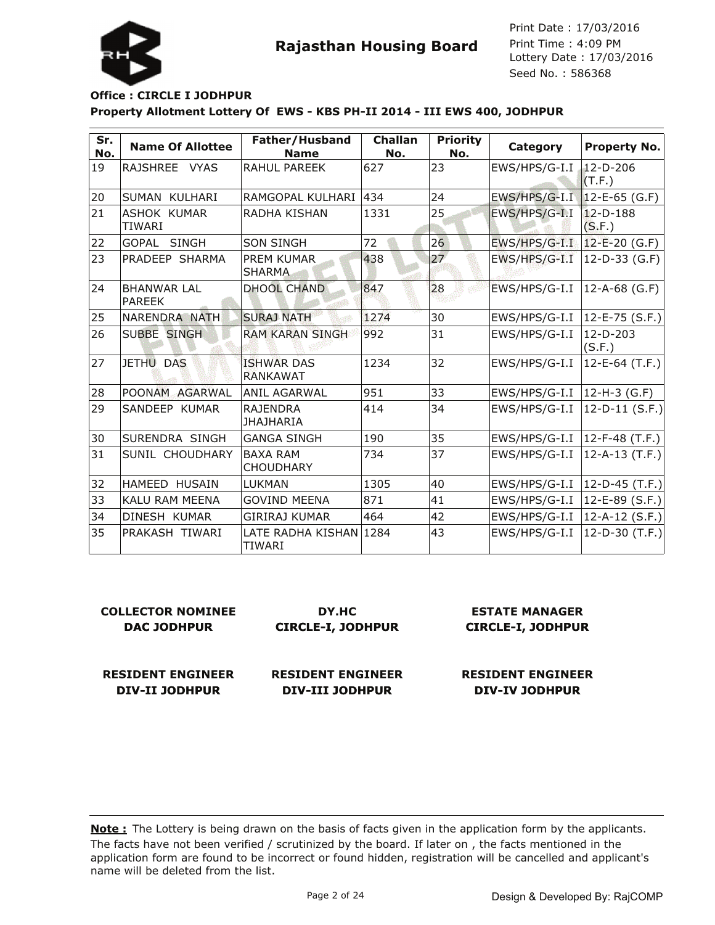

Lottery Date : 17/03/2016 Seed No. : 586368 Print Date : 17/03/2016 Print Time : 4:09 PM

### **Property Allotment Lottery Of EWS - KBS PH-II 2014 - III EWS 400, JODHPUR Office : CIRCLE I JODHPUR**

| Sr.<br>No. | <b>Name Of Allottee</b>        | Father/Husband<br><b>Name</b>        | Challan<br>No. | <b>Priority</b><br>No. | Category      | <b>Property No.</b>      |
|------------|--------------------------------|--------------------------------------|----------------|------------------------|---------------|--------------------------|
| 19         | <b>RAJSHREE</b><br><b>VYAS</b> | <b>RAHUL PAREEK</b>                  | 627            | 23                     | EWS/HPS/G-I.I | $12 - D - 206$<br>(T.F.) |
| 20         | İSUMAN KULHARI                 | RAMGOPAL KULHARI                     | 434            | 24                     | EWS/HPS/G-I.I | $12 - E - 65$ (G.F)      |
| 21         | ASHOK KUMAR<br><b>TIWARI</b>   | RADHA KISHAN                         | 1331           | 25                     | EWS/HPS/G-I.I | $12 - D - 188$<br>(S.F.) |
| 22         | lGOPAL-<br><b>SINGH</b>        | <b>SON SINGH</b>                     | 72             | 26                     | EWS/HPS/G-I.I | $12-E-20$ (G.F)          |
| 23         | PRADEEP SHARMA                 | <b>PREM KUMAR</b><br><b>SHARMA</b>   | 438            | 27                     | EWS/HPS/G-I.I | 12-D-33 (G.F)            |
| 24         | <b>BHANWAR LAL</b><br>PAREEK   | <b>DHOOL CHAND</b>                   | 847            | 28                     | EWS/HPS/G-I.I | $12-A-68$ (G.F)          |
| 25         | NARENDRA NATH                  | <b>SURAJ NATH</b>                    | 1274           | 30                     | EWS/HPS/G-I.I | $12 - E - 75$ (S.F.)     |
| 26         | <b>SUBBE SINGH</b>             | <b>RAM KARAN SINGH</b>               | 992            | 31                     | EWS/HPS/G-I.I | $12-D-203$<br>(S.F.)     |
| 27         | JETHU DAS                      | <b>ISHWAR DAS</b><br><b>RANKAWAT</b> | 1234           | 32                     | EWS/HPS/G-I.I | $12-E-64$ (T.F.)         |
| 28         | POONAM AGARWAL                 | ANIL AGARWAL                         | 951            | 33                     | EWS/HPS/G-I.I | 12-H-3 (G.F)             |
| 29         | SANDEEP KUMAR                  | <b>RAJENDRA</b><br>IJHAJHARIA        | 414            | 34                     | EWS/HPS/G-I.I | $12-D-11$ (S.F.)         |
| 30         | SURENDRA SINGH                 | <b>GANGA SINGH</b>                   | 190            | 35                     | EWS/HPS/G-I.I | 12-F-48 (T.F.)           |
| 31         | <b>SUNIL CHOUDHARY</b>         | <b>BAXA RAM</b><br><b>CHOUDHARY</b>  | 734            | 37                     | EWS/HPS/G-I.I | 12-A-13 (T.F.)           |
| 32         | <b>HAMEED HUSAIN</b>           | <b>LUKMAN</b>                        | 1305           | 40                     | EWS/HPS/G-I.I | 12-D-45 (T.F.)           |
| 33         | <b>KALU RAM MEENA</b>          | <b>GOVIND MEENA</b>                  | 871            | 41                     | EWS/HPS/G-I.I | $12-E-89$ (S.F.)         |
| 34         | <b>DINESH KUMAR</b>            | <b>GIRIRAJ KUMAR</b>                 | 464            | 42                     | EWS/HPS/G-I.I | $12-A-12(S.F.)$          |
| 35         | PRAKASH TIWARI                 | LATE RADHA KISHAN 1284<br>TIWARI     |                | 43                     | EWS/HPS/G-I.I | 12-D-30 $(T.F.)$         |

| <b>COLLECTOR NOMINEE</b> | DY.HC                    | <b>ESTATE MANAGER</b>    |
|--------------------------|--------------------------|--------------------------|
| <b>DAC JODHPUR</b>       | <b>CIRCLE-I, JODHPUR</b> | <b>CIRCLE-I, JODHPUR</b> |
| <b>RESIDENT ENGINEER</b> | <b>RESIDENT ENGINEER</b> | <b>RESIDENT ENGINEER</b> |

**DIV-III JODHPUR**

The facts have not been verified / scrutinized by the board. If later on , the facts mentioned in the application form are found to be incorrect or found hidden, registration will be cancelled and applicant's name will be deleted from the list. **Note :** The Lottery is being drawn on the basis of facts given in the application form by the applicants.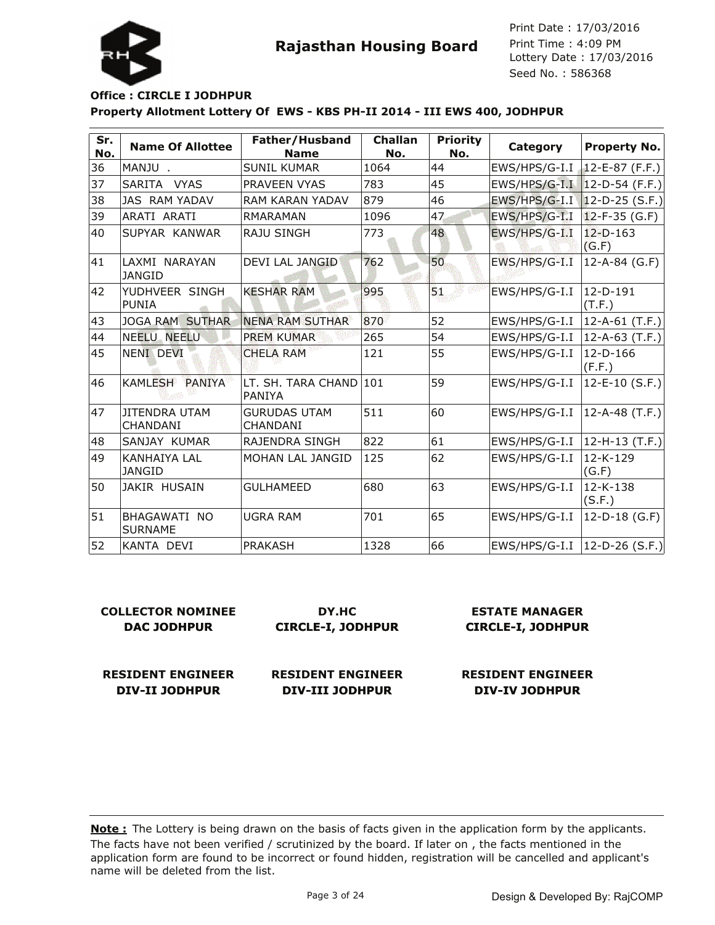

#### **Property Allotment Lottery Of EWS - KBS PH-II 2014 - III EWS 400, JODHPUR Office : CIRCLE I JODHPUR**

| Sr.<br>No. | <b>Name Of Allottee</b>                 | Father/Husband<br><b>Name</b>          | <b>Challan</b><br>No. | <b>Priority</b><br>No. | Category      | <b>Property No.</b>      |
|------------|-----------------------------------------|----------------------------------------|-----------------------|------------------------|---------------|--------------------------|
| 36         | MANJU.                                  | <b>SUNIL KUMAR</b>                     | 1064                  | 44                     | EWS/HPS/G-I.I | $12 - E - 87$ (F.F.)     |
| 37         | SARITA VYAS                             | PRAVEEN VYAS                           | 783                   | 45                     | EWS/HPS/G-I.I | $ 12-D-54$ (F.F.)        |
| 38         | <b>JAS RAM YADAV</b>                    | RAM KARAN YADAV                        | 879                   | 46                     | EWS/HPS/G-I.I | $ 12-D-25(S.F.) $        |
| 39         | ARATI ARATI                             | <b>RMARAMAN</b>                        | 1096                  | 47                     | EWS/HPS/G-I.I | $12-F-35(G.F)$           |
| 40         | SUPYAR KANWAR                           | <b>RAJU SINGH</b>                      | 773                   | 48                     | EWS/HPS/G-I.I | $12 - D - 163$<br>(G.F)  |
| 41         | LAXMI NARAYAN<br><b>JANGID</b>          | DEVI LAL JANGID                        | 762                   | 50                     | EWS/HPS/G-I.I | $12 - A - 84$ (G.F)      |
| 42         | YUDHVEER SINGH<br><b>PUNIA</b>          | <b>KESHAR RAM</b>                      | 995                   | 51                     | EWS/HPS/G-I.I | $12-D-191$<br>(T.F.)     |
| 43         | <b>JOGA RAM SUTHAR</b>                  | <b>NENA RAM SUTHAR</b>                 | 870                   | 52                     | EWS/HPS/G-I.I | 12-A-61 (T.F.)           |
| 44         | NEELU NEELU                             | <b>PREM KUMAR</b>                      | 265                   | 54                     | EWS/HPS/G-I.I | 12-A-63 (T.F.)           |
| 45         | NENI DEVI                               | <b>CHELA RAM</b>                       | 121                   | 55                     | EWS/HPS/G-I.I | $12-D-166$<br>(F.F.)     |
| 46         | KAMLESH PANIYA                          | LT. SH. TARA CHAND<br>PANIYA           | 101                   | 59                     | EWS/HPS/G-I.I | $12-E-10$ (S.F.)         |
| 47         | <b>JITENDRA UTAM</b><br><b>CHANDANI</b> | <b>GURUDAS UTAM</b><br><b>CHANDANI</b> | 511                   | 60                     | EWS/HPS/G-I.I | 12-A-48 (T.F.)           |
| 48         | SANJAY KUMAR                            | RAJENDRA SINGH                         | 822                   | 61                     | EWS/HPS/G-I.I | $12-H-13$ (T.F.)         |
| 49         | <b>KANHAIYA LAL</b><br><b>JANGID</b>    | MOHAN LAL JANGID                       | 125                   | 62                     | EWS/HPS/G-I.I | 12-K-129<br>(G.F)        |
| 50         | JAKIR HUSAIN                            | <b>GULHAMEED</b>                       | 680                   | 63                     | EWS/HPS/G-I.I | $12 - K - 138$<br>(S.F.) |
| 51         | <b>BHAGAWATI NO</b><br><b>SURNAME</b>   | <b>UGRA RAM</b>                        | 701                   | 65                     | EWS/HPS/G-I.I | $12-D-18$ (G.F)          |
| 52         | KANTA DEVI                              | <b>PRAKASH</b>                         | 1328                  | 66                     | EWS/HPS/G-I.I | $ 12-D-26(S.F.) $        |

| <b>COLLECTOR NOMINEE</b><br><b>DAC JODHPUR</b> | DY.HC<br><b>CIRCLE-I, JODHPUR</b> | <b>ESTATE MANAGER</b><br><b>CIRCLE-I, JODHPUR</b> |  |
|------------------------------------------------|-----------------------------------|---------------------------------------------------|--|
| <b>RESIDENT ENGINEER</b>                       | <b>RESIDENT ENGINEER</b>          | <b>RESIDENT ENGINEER</b>                          |  |
| DIV-II JODHPUR                                 | <b>DIV-III JODHPUR</b>            | <b>DIV-IV JODHPUR</b>                             |  |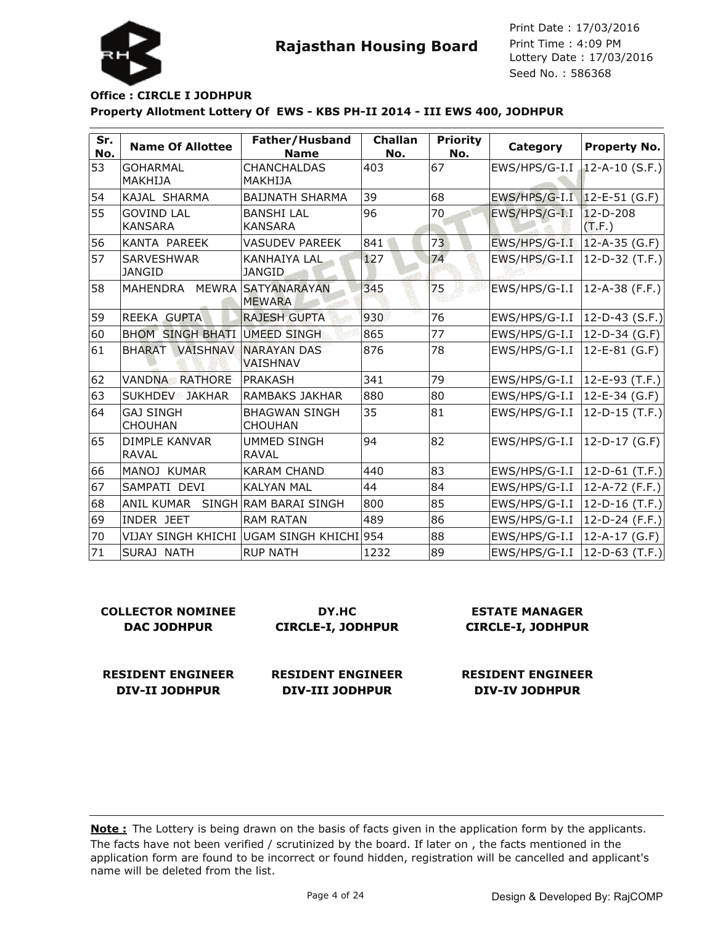

#### **Property Allotment Lottery Of EWS - KBS PH-II 2014 - III EWS 400, JODHPUR Office : CIRCLE I JODHPUR**

| Sr.<br>No. | <b>Name Of Allottee</b>              | Father/Husband<br><b>Name</b>             | Challan<br>No. | <b>Priority</b><br>No. | Category      | <b>Property No.</b>      |
|------------|--------------------------------------|-------------------------------------------|----------------|------------------------|---------------|--------------------------|
| 53         | GOHARMAL<br>MAKHIJA                  | <b>CHANCHALDAS</b><br>MAKHIJA             | 403            | 67                     | EWS/HPS/G-I.I | 12-A-10 $(S.F.)$         |
| 54         | KAJAL SHARMA                         | <b>BAIJNATH SHARMA</b>                    | 39             | 68                     | EWS/HPS/G-I.I | $12 - E - 51$ (G.F)      |
| 55         | <b>GOVIND LAL</b><br><b>KANSARA</b>  | <b>BANSHI LAL</b><br><b>KANSARA</b>       | 96             | 70                     | EWS/HPS/G-I.I | $12 - D - 208$<br>(T.F.) |
| 56         | KANTA PAREEK                         | <b>VASUDEV PAREEK</b>                     | 841            | 73                     | EWS/HPS/G-I.I | $12-A-35$ (G.F)          |
| 57         | <b>SARVESHWAR</b><br><b>JANGID</b>   | KANHAIYA LAL<br><b>JANGID</b>             | 127            | 74                     | EWS/HPS/G-I.I | $12-D-32$ (T.F.)         |
| 58         | MAHENDRA MEWRA SATYANARAYAN          | <b>MEWARA</b>                             | 345            | 75                     | EWS/HPS/G-I.I | $ 12 - A - 38$ (F.F.)    |
| 59         | REEKA GUPTA                          | <b>RAJESH GUPTA</b>                       | 930            | 76                     | EWS/HPS/G-I.I | $12-D-43$ (S.F.)         |
| 60         | <b>BHOM SINGH BHATI</b>              | UMEED SINGH                               | 865            | 77                     | EWS/HPS/G-I.I | $12-D-34$ (G.F)          |
| 61         | <b>VAISHNAV</b><br><b>BHARAT</b>     | <b>NARAYAN DAS</b><br><b>VAISHNAV</b>     | 876            | 78                     | EWS/HPS/G-I.I | 12-E-81 (G.F)            |
| 62         | <b>VANDNA RATHORE</b>                | PRAKASH                                   | 341            | 79                     | EWS/HPS/G-I.I | 12-E-93 (T.F.)           |
| 63         | <b>SUKHDEV JAKHAR</b>                | <b>RAMBAKS JAKHAR</b>                     | 880            | 80                     | EWS/HPS/G-I.I | $12 - E - 34$ (G.F)      |
| 64         | <b>GAJ SINGH</b><br><b>CHOUHAN</b>   | <b>BHAGWAN SINGH</b><br><b>CHOUHAN</b>    | 35             | 81                     | EWS/HPS/G-I.I | $12-D-15$ (T.F.)         |
| 65         | <b>DIMPLE KANVAR</b><br><b>RAVAL</b> | <b>UMMED SINGH</b><br><b>RAVAL</b>        | 94             | 82                     | EWS/HPS/G-I.I | $12-D-17$ (G.F)          |
| 66         | MANOJ KUMAR                          | <b>KARAM CHAND</b>                        | 440            | 83                     | EWS/HPS/G-I.I | $12-D-61$ (T.F.)         |
| 67         | SAMPATI DEVI                         | <b>KALYAN MAL</b>                         | 44             | 84                     | EWS/HPS/G-I.I | 12-A-72 (F.F.)           |
| 68         | <b>ANIL KUMAR</b>                    | SINGH RAM BARAI SINGH                     | 800            | 85                     | EWS/HPS/G-I.I | 12-D-16 $(T.F.)$         |
| 69         | INDER JEET                           | <b>RAM RATAN</b>                          | 489            | 86                     | EWS/HPS/G-I.I | 12-D-24 (F.F.)           |
| 70         |                                      | VIJAY SINGH KHICHI  UGAM SINGH KHICHI 954 |                | 88                     | EWS/HPS/G-I.I | 12-A-17 (G.F)            |
| 71         | SURAJ NATH                           | <b>RUP NATH</b>                           | 1232           | 89                     | EWS/HPS/G-I.I | 12-D-63 $(T.F.)$         |

| <b>COLLECTOR NOMINEE</b> | DY.HC                    | <b>ESTATE MANAGER</b>    |  |
|--------------------------|--------------------------|--------------------------|--|
| <b>DAC JODHPUR</b>       | <b>CIRCLE-I, JODHPUR</b> | <b>CIRCLE-I, JODHPUR</b> |  |
| <b>RESIDENT ENGINEER</b> | <b>RESIDENT ENGINEER</b> | <b>RESIDENT ENGINEER</b> |  |
| <b>DIV-II JODHPUR</b>    | <b>DIV-III JODHPUR</b>   | <b>DIV-IV JODHPUR</b>    |  |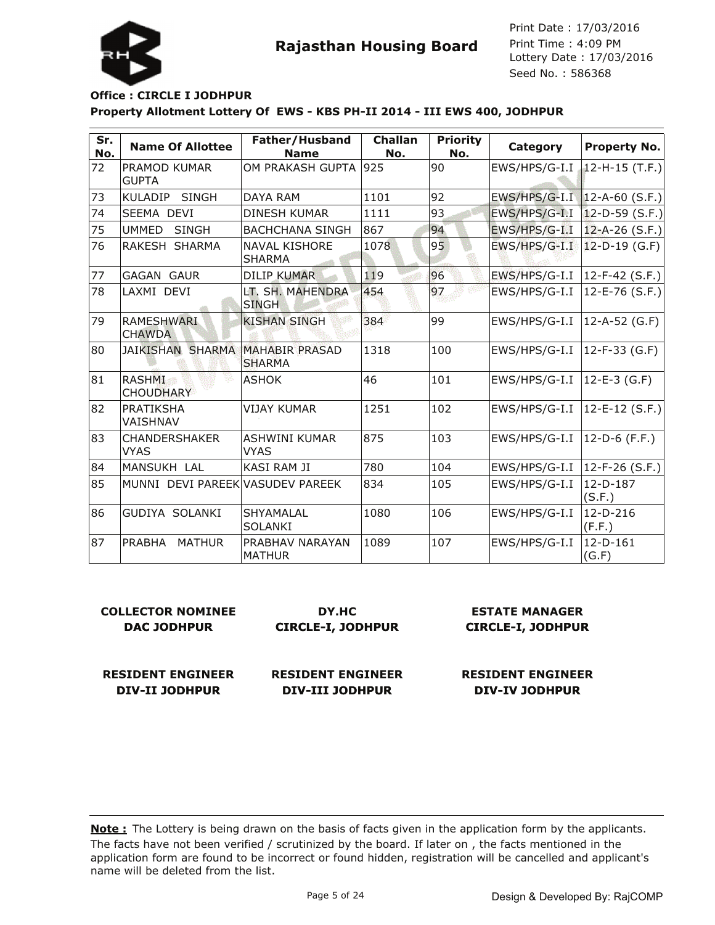

#### **Property Allotment Lottery Of EWS - KBS PH-II 2014 - III EWS 400, JODHPUR Office : CIRCLE I JODHPUR**

| Sr.<br>No. | <b>Name Of Allottee</b>                 | Father/Husband<br><b>Name</b>          | <b>Challan</b><br>No. | <b>Priority</b><br>No. | Category                       | <b>Property No.</b>   |
|------------|-----------------------------------------|----------------------------------------|-----------------------|------------------------|--------------------------------|-----------------------|
| 72         | PRAMOD KUMAR<br><b>GUPTA</b>            | OM PRAKASH GUPTA                       | 925                   | 90                     | EWS/HPS/G-I.I                  | $12-H-15$ (T.F.)      |
| 73         | <b>SINGH</b><br>KULADIP                 | DAYA RAM                               | 1101                  | 92                     | EWS/HPS/G-I.I   12-A-60 (S.F.) |                       |
| 74         | SEEMA DEVI                              | <b>DINESH KUMAR</b>                    | 1111                  | 93                     | EWS/HPS/G-I.I                  | $12-D-59$ (S.F.)      |
| 75         | <b>UMMED</b><br><b>SINGH</b>            | <b>BACHCHANA SINGH</b>                 | 867                   | 94                     | EWS/HPS/G-I.I                  | $ 12 - A - 26(S.F.) $ |
| 76         | RAKESH SHARMA                           | <b>NAVAL KISHORE</b><br><b>SHARMA</b>  | 1078                  | 95                     | EWS/HPS/G-I.I                  | 12-D-19 (G.F)         |
| 77         | <b>GAGAN GAUR</b>                       | <b>DILIP KUMAR</b>                     | 119                   | 96                     | EWS/HPS/G-I.I                  | $12-F-42$ (S.F.)      |
| 78         | LAXMI DEVI                              | LT. SH. MAHENDRA<br><b>SINGH</b>       | 454                   | 97                     | EWS/HPS/G-I.I                  | $12 - E - 76$ (S.F.)  |
| 79         | <b>RAMESHWARI</b><br><b>CHAWDA</b>      | <b>KISHAN SINGH</b>                    | 384                   | 99                     | EWS/HPS/G-I.I                  | $12-A-52$ (G.F)       |
| 80         | <b>JAIKISHAN SHARMA</b>                 | <b>MAHABIR PRASAD</b><br><b>SHARMA</b> | 1318                  | 100                    | EWS/HPS/G-I.I                  | $12-F-33(G.F)$        |
| 81         | <b>RASHMI</b><br>Z.<br><b>CHOUDHARY</b> | <b>ASHOK</b>                           | 46                    | 101                    | EWS/HPS/G-I.I                  | $12 - E - 3$ (G.F)    |
| 82         | <b>PRATIKSHA</b><br>VAISHNAV            | <b>VIJAY KUMAR</b>                     | 1251                  | 102                    | EWS/HPS/G-I.I                  | 12-E-12 (S.F.)        |
| 83         | <b>CHANDERSHAKER</b><br><b>VYAS</b>     | <b>ASHWINI KUMAR</b><br><b>VYAS</b>    | 875                   | 103                    | EWS/HPS/G-I.I                  | 12-D-6 (F.F.)         |
| 84         | <b>MANSUKH LAL</b>                      | <b>KASI RAM JI</b>                     | 780                   | 104                    | EWS/HPS/G-I.I                  | 12-F-26 (S.F.)        |
| 85         | MUNNI DEVI PAREEK VASUDEV PAREEK        |                                        | 834                   | 105                    | EWS/HPS/G-I.I                  | 12-D-187<br>(S.F.)    |
| 86         | <b>GUDIYA SOLANKI</b>                   | SHYAMALAL<br><b>SOLANKI</b>            | 1080                  | 106                    | EWS/HPS/G-I.I                  | $12-D-216$<br>(F.F.)  |
| 87         | PRABHA<br><b>MATHUR</b>                 | PRABHAV NARAYAN<br><b>MATHUR</b>       | 1089                  | 107                    | EWS/HPS/G-I.I                  | $12-D-161$<br>(G.F)   |

| <b>COLLECTOR NOMINEE</b><br><b>DAC JODHPUR</b> | DY.HC<br><b>CIRCLE-I, JODHPUR</b> | <b>ESTATE MANAGER</b><br><b>CIRCLE-I, JODHPUR</b> |  |
|------------------------------------------------|-----------------------------------|---------------------------------------------------|--|
| <b>RESIDENT ENGINEER</b>                       | <b>RESIDENT ENGINEER</b>          | <b>RESIDENT ENGINEER</b>                          |  |
| <b>DIV-II JODHPUR</b>                          | <b>DIV-III JODHPUR</b>            | <b>DIV-IV JODHPUR</b>                             |  |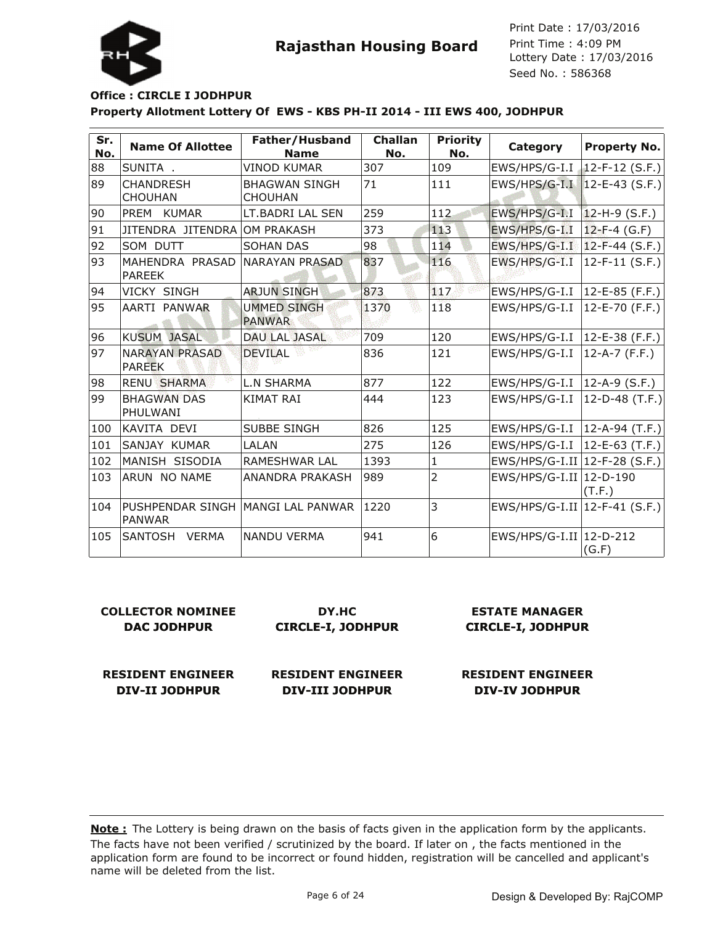

#### **Property Allotment Lottery Of EWS - KBS PH-II 2014 - III EWS 400, JODHPUR Office : CIRCLE I JODHPUR**

| Sr.<br>No. | <b>Name Of Allottee</b>            | Father/Husband<br><b>Name</b>          | Challan<br>No. | <b>Priority</b><br>No. | Category                        | <b>Property No.</b>  |
|------------|------------------------------------|----------------------------------------|----------------|------------------------|---------------------------------|----------------------|
| 88         | SUNITA.                            | <b>VINOD KUMAR</b>                     | 307            | 109                    | EWS/HPS/G-I.I                   | $12-F-12$ (S.F.)     |
| 89         | <b>CHANDRESH</b><br><b>CHOUHAN</b> | <b>BHAGWAN SINGH</b><br><b>CHOUHAN</b> | 71             | 111                    | $EWS/HPS/G-I.I$                 | $12-E-43$ (S.F.)     |
| 90         | <b>PREM</b><br><b>KUMAR</b>        | LT.BADRI LAL SEN                       | 259            | 112                    | EWS/HPS/G-I.I                   | $12-H-9$ (S.F.)      |
| 91         | JITENDRA JITENDRA OM PRAKASH       |                                        | 373            | 113                    | EWS/HPS/G-I.I                   | $12-F-4$ (G.F)       |
| 92         | <b>SOM DUTT</b>                    | <b>SOHAN DAS</b>                       | 98             | 114                    | EWS/HPS/G-I.I                   | $12-F-44$ (S.F.)     |
| 93         | MAHENDRA PRASAD<br>PAREEK          | <b>NARAYAN PRASAD</b>                  | 837            | 116                    | EWS/HPS/G-I.I                   | $12-F-11$ (S.F.)     |
| 94         | VICKY SINGH                        | <b>ARJUN SINGH</b>                     | 873            | 117                    | EWS/HPS/G-I.I                   | $12-E-85$ (F.F.)     |
| 95         | AARTI PANWAR                       | <b>UMMED SINGH</b><br><b>PANWAR</b>    | 1370           | 118                    | EWS/HPS/G-I.I                   | $12 - E - 70$ (F.F.) |
| 96         | <b>KUSUM JASAL</b>                 | <b>DAU LAL JASAL</b>                   | 709            | 120                    | EWS/HPS/G-I.I                   | $ 12-E-38(F.F.) $    |
| 97         | <b>NARAYAN PRASAD</b><br>PAREEK    | <b>DEVILAL</b>                         | 836            | 121                    | EWS/HPS/G-I.I                   | $12-A-7$ (F.F.)      |
| 98         | <b>RENU SHARMA</b>                 | <b>L.N SHARMA</b>                      | 877            | 122                    | EWS/HPS/G-I.I                   | $ 12-A-9(S.F.) $     |
| 99         | <b>BHAGWAN DAS</b><br>PHULWANI     | <b>KIMAT RAI</b>                       | 444            | 123                    | EWS/HPS/G-I.I                   | 12-D-48 $(T.F.)$     |
| 100        | KAVITA DEVI                        | <b>SUBBE SINGH</b>                     | 826            | 125                    | $EWS/HPS/G-I.I$                 | $ 12-A-94(T.F.) $    |
| 101        | SANJAY KUMAR                       | LALAN                                  | 275            | 126                    | EWS/HPS/G-I.I                   | $ 12-E-63(T.F.) $    |
| 102        | MANISH SISODIA                     | RAMESHWAR LAL                          | 1393           | $\mathbf{1}$           | EWS/HPS/G-I.II   12-F-28 (S.F.) |                      |
| 103        | ARUN NO NAME                       | ANANDRA PRAKASH                        | 989            | $\overline{2}$         | EWS/HPS/G-I.II   12-D-190       | (T.F.)               |
| 104        | PUSHPENDAR SINGH<br><b>PANWAR</b>  | MANGI LAL PANWAR                       | 1220           | 3                      | EWS/HPS/G-I.II   12-F-41 (S.F.) |                      |
| 105        | SANTOSH<br><b>VERMA</b>            | <b>NANDU VERMA</b>                     | 941            | 6                      | EWS/HPS/G-I.II   12-D-212       | (G.F)                |

#### **COLLECTOR NOMINEE DAC JODHPUR DY.HC CIRCLE-I, JODHPUR**

#### **ESTATE MANAGER CIRCLE-I, JODHPUR**

**RESIDENT ENGINEER DIV-II JODHPUR**

**RESIDENT ENGINEER DIV-III JODHPUR**

**RESIDENT ENGINEER DIV-IV JODHPUR**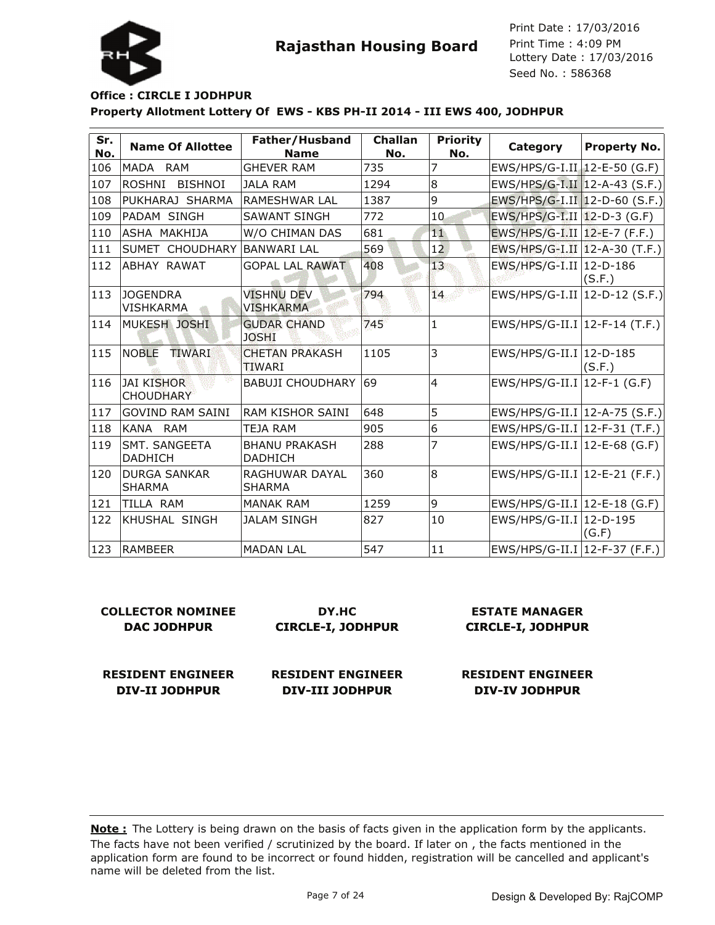

#### **Property Allotment Lottery Of EWS - KBS PH-II 2014 - III EWS 400, JODHPUR Office : CIRCLE I JODHPUR**

| Sr.<br>No. | <b>Name Of Allottee</b>               | Father/Husband<br><b>Name</b>          | Challan<br>No. | <b>Priority</b><br>No. | Category                         | <b>Property No.</b> |
|------------|---------------------------------------|----------------------------------------|----------------|------------------------|----------------------------------|---------------------|
| 106        | MADA RAM                              | <b>GHEVER RAM</b>                      | 735            | 7                      | EWS/HPS/G-I.II 12-E-50 (G.F)     |                     |
| 107        | ROSHNI<br><b>BISHNOI</b>              | <b>JALA RAM</b>                        | 1294           | $\overline{8}$         | EWS/HPS/G-I.II 12-A-43 (S.F.)    |                     |
| 108        | PUKHARAJ SHARMA                       | <b>RAMESHWAR LAL</b>                   | 1387           | 9                      | EWS/HPS/G-I.II 12-D-60 (S.F.)    |                     |
| 109        | PADAM SINGH                           | <b>SAWANT SINGH</b>                    | 772            | 10 <sub>1</sub>        | EWS/HPS/G-I.II   12-D-3 (G.F)    |                     |
| 110        | ASHA MAKHIJA                          | W/O CHIMAN DAS                         | 681            | 11                     | EWS/HPS/G-I.II   12-E-7 (F.F.)   |                     |
| 111        | SUMET CHOUDHARY                       | <b>BANWARI LAL</b>                     | 569            | 12                     | EWS/HPS/G-I.II 12-A-30 (T.F.)    |                     |
| 112        | ABHAY RAWAT                           | <b>GOPAL LAL RAWAT</b>                 | 408            | 13                     | EWS/HPS/G-I.II   12-D-186        | (S.F.)              |
| 113        | <b>JOGENDRA</b><br><b>VISHKARMA</b>   | <b>VISHNU DEV</b><br><b>VISHKARMA</b>  | 794            | 14                     | $EWS/HPS/G-I.II$ 12-D-12 (S.F.)  |                     |
| 114        | MUKESH JOSHI                          | <b>GUDAR CHAND</b><br><b>JOSHI</b>     | 745            | $\mathbf{1}$           | EWS/HPS/G-II.I   12-F-14 (T.F.)  |                     |
| 115        | <b>NOBLE</b><br>TIWARI                | <b>CHETAN PRAKASH</b><br>TIWARI        | 1105           | 3                      | EWS/HPS/G-II.I   12-D-185        | (S.F.)              |
| 116        | <b>JAI KISHOR</b><br><b>CHOUDHARY</b> | <b>BABUJI CHOUDHARY</b>                | 69             | $\overline{4}$         | $EWS/HPS/G-II.I$   12-F-1 (G.F)  |                     |
| 117        | <b>GOVIND RAM SAINI</b>               | RAM KISHOR SAINI                       | 648            | 5                      | EWS/HPS/G-II.I   12-A-75 (S.F.)  |                     |
| 118        | KANA RAM                              | TEJA RAM                               | 905            | 6                      | EWS/HPS/G-II.I $ 12-F-31$ (T.F.) |                     |
| 119        | SMT. SANGEETA<br><b>DADHICH</b>       | <b>BHANU PRAKASH</b><br><b>DADHICH</b> | 288            | 7                      | EWS/HPS/G-II.I   12-E-68 (G.F)   |                     |
| 120        | <b>DURGA SANKAR</b><br><b>SHARMA</b>  | RAGHUWAR DAYAL<br><b>SHARMA</b>        | 360            | $\overline{8}$         | EWS/HPS/G-II.I   12-E-21 (F.F.)  |                     |
| 121        | TILLA RAM                             | <b>MANAK RAM</b>                       | 1259           | 9                      | EWS/HPS/G-II.I   12-E-18 (G.F)   |                     |
| 122        | IKHUSHAL SINGH                        | <b>JALAM SINGH</b>                     | 827            | 10                     | EWS/HPS/G-II.I   12-D-195        | (G.F)               |
| 123        | RAMBEER                               | <b>MADAN LAL</b>                       | 547            | 11                     | $EWS/HPS/G-II.I$ 12-F-37 (F.F.)  |                     |

| COLLECTOR NOMINEE  | DY.HC                    |  |
|--------------------|--------------------------|--|
| <b>DAC JODHPUR</b> | <b>CIRCLE-I, JODHPUR</b> |  |
|                    |                          |  |
|                    |                          |  |

**RESIDENT ENGINEER**

**DIV-II JODHPUR**

**RESIDENT ENGINEER DIV-III JODHPUR**

**ESTATE MANAGER CIRCLE-I, JODHPUR**

**RESIDENT ENGINEER DIV-IV JODHPUR**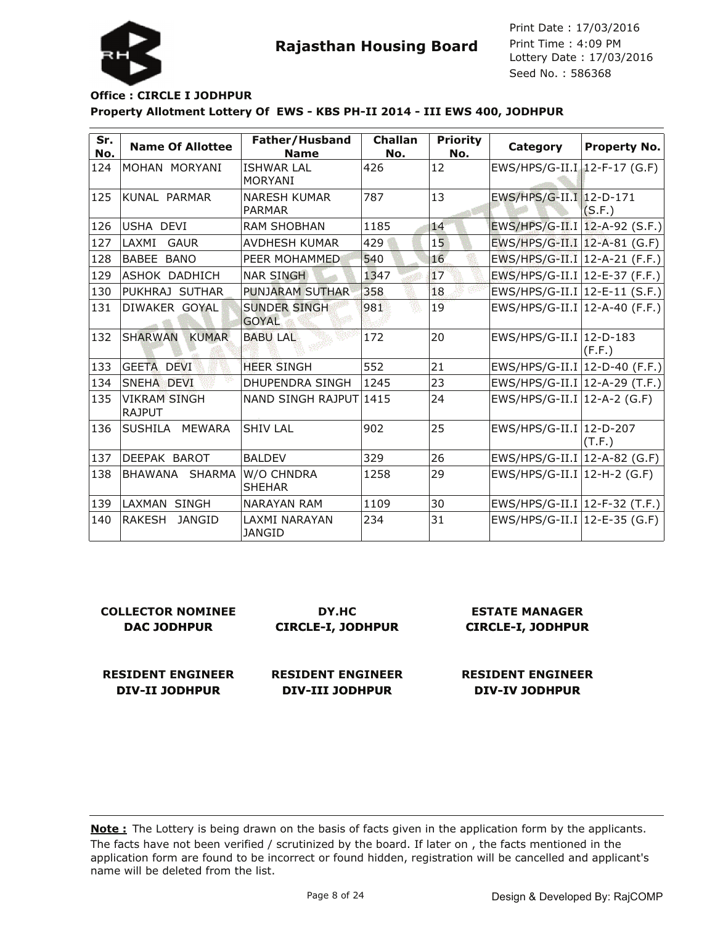

Lottery Date : 17/03/2016 Seed No. : 586368 Print Date : 17/03/2016 Print Time : 4:09 PM

#### **Property Allotment Lottery Of EWS - KBS PH-II 2014 - III EWS 400, JODHPUR Office : CIRCLE I JODHPUR**

| Sr.<br>No. | <b>Name Of Allottee</b>        | Father/Husband<br><b>Name</b>        | Challan<br>No. | <b>Priority</b><br>No. | Category                        | <b>Property No.</b> |
|------------|--------------------------------|--------------------------------------|----------------|------------------------|---------------------------------|---------------------|
| 124        | MOHAN MORYANI                  | <b>ISHWAR LAL</b><br><b>MORYANI</b>  | 426            | 12                     | EWS/HPS/G-II.I 12-F-17 (G.F)    |                     |
| 125        | KUNAL PARMAR                   | <b>NARESH KUMAR</b><br><b>PARMAR</b> | 787            | 13                     | EWS/HPS/G-II.I   12-D-171       | (S.F.)              |
| 126        | USHA DEVI                      | <b>RAM SHOBHAN</b>                   | 1185           | 14                     | EWS/HPS/G-II.I   12-A-92 (S.F.) |                     |
| 127        | LAXMI<br><b>GAUR</b>           | <b>AVDHESH KUMAR</b>                 | 429            | 15                     | EWS/HPS/G-II.I   12-A-81 (G.F)  |                     |
| 128        | BABEE BANO                     | PEER MOHAMMED                        | 540            | 16                     | EWS/HPS/G-II.I   12-A-21 (F.F.) |                     |
| 129        | ASHOK DADHICH                  | <b>NAR SINGH</b>                     | 1347           | 17                     | EWS/HPS/G-II.I   12-E-37 (F.F.) |                     |
| 130        | PUKHRAJ SUTHAR                 | <b>PUNJARAM SUTHAR</b>               | 358            | 18                     | $EWS/HPS/G-II.I$ 12-E-11 (S.F.) |                     |
| 131        | DIWAKER GOYAL                  | <b>SUNDER SINGH</b><br><b>GOYAL</b>  | 981            | 19                     | EWS/HPS/G-II.I   12-A-40 (F.F.) |                     |
| 132        | <b>SHARWAN</b><br><b>KUMAR</b> | <b>BABU LAL</b>                      | 172            | 20                     | EWS/HPS/G-II.I   12-D-183       | (F.F.)              |
| 133        | GEETA DEVI                     | <b>HEER SINGH</b>                    | 552            | 21                     | EWS/HPS/G-II.I   12-D-40 (F.F.) |                     |
| 134        | SNEHA DEVI                     | <b>DHUPENDRA SINGH</b>               | 1245           | 23                     | EWS/HPS/G-II.I   12-A-29 (T.F.) |                     |
| 135        | <b>VIKRAM SINGH</b><br>RAJPUT  | NAND SINGH RAJPUT 1415               |                | 24                     | EWS/HPS/G-II.I   12-A-2 (G.F)   |                     |
| 136        | <b>SUSHILA</b><br>MEWARA       | <b>SHIV LAL</b>                      | 902            | 25                     | EWS/HPS/G-II.I   12-D-207       | (T.F.)              |
| 137        | DEEPAK BAROT                   | <b>BALDEV</b>                        | 329            | 26                     | EWS/HPS/G-II.I   12-A-82 (G.F)  |                     |
| 138        | BHAWANA SHARMA                 | W/O CHNDRA<br><b>SHEHAR</b>          | 1258           | 29                     | EWS/HPS/G-II.I   12-H-2 (G.F)   |                     |
| 139        | LAXMAN SINGH                   | <b>NARAYAN RAM</b>                   | 1109           | 30                     | EWS/HPS/G-II.I   12-F-32 (T.F.) |                     |
| 140        | <b>RAKESH</b><br><b>JANGID</b> | LAXMI NARAYAN<br><b>JANGID</b>       | 234            | 31                     | EWS/HPS/G-II.I   12-E-35 (G.F)  |                     |

| <b>COLLECTOR NOMINEE</b> | DY.HC                    | <b>ESTATE MANAGER</b>    |  |
|--------------------------|--------------------------|--------------------------|--|
| <b>DAC JODHPUR</b>       | <b>CIRCLE-I, JODHPUR</b> | <b>CIRCLE-I, JODHPUR</b> |  |
| <b>RESIDENT ENGINEER</b> | <b>RESIDENT ENGINEER</b> | <b>RESIDENT ENGINEER</b> |  |
| DIV-II JODHPUR           | <b>DIV-III JODHPUR</b>   | <b>DIV-IV JODHPUR</b>    |  |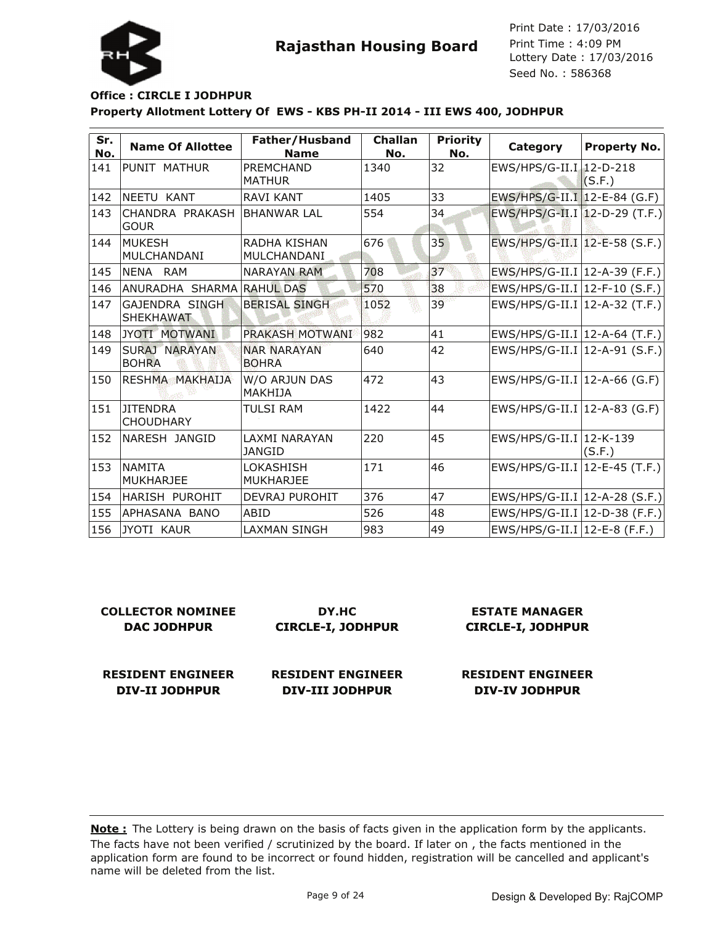

#### **Property Allotment Lottery Of EWS - KBS PH-II 2014 - III EWS 400, JODHPUR Office : CIRCLE I JODHPUR**

| Sr.<br>No. | <b>Name Of Allottee</b>              | Father/Husband<br><b>Name</b>      | Challan<br>No. | <b>Priority</b><br>No. | Category                         | <b>Property No.</b> |
|------------|--------------------------------------|------------------------------------|----------------|------------------------|----------------------------------|---------------------|
| 141        | PUNIT MATHUR                         | <b>PREMCHAND</b><br><b>MATHUR</b>  | 1340           | 32                     | EWS/HPS/G-II.I 12-D-218          | (S.F.)              |
| 142        | NEETU KANT                           | <b>RAVI KANT</b>                   | 1405           | 33                     | EWS/HPS/G-II.I   12-E-84 (G.F)   |                     |
| 143        | CHANDRA PRAKASH<br><b>GOUR</b>       | <b>BHANWAR LAL</b>                 | 554            | 34                     | EWS/HPS/G-II.I   12-D-29 (T.F.)  |                     |
| 144        | <b>MUKESH</b><br>MULCHANDANI         | RADHA KISHAN<br>MULCHANDANI        | 676            | 35                     | EWS/HPS/G-II.I   12-E-58 (S.F.)  |                     |
| 145        | NENA RAM                             | <b>NARAYAN RAM</b>                 | 708            | 37                     | EWS/HPS/G-II.I   12-A-39 (F.F.)  |                     |
| 146        | ANURADHA SHARMA RAHUL DAS            |                                    | 570            | 38                     | EWS/HPS/G-II.I   12-F-10 (S.F.)  |                     |
| 147        | GAJENDRA SINGH<br><b>SHEKHAWAT</b>   | <b>BERISAL SINGH</b>               | 1052           | 39                     | EWS/HPS/G-II.I   12-A-32 (T.F.)  |                     |
| 148        | JYOTI MOTWANI                        | PRAKASH MOTWANI                    | 982            | 41                     | $EWS/HPS/G-II.I$ 12-A-64 (T.F.)  |                     |
| 149        | <b>SURAJ NARAYAN</b><br><b>BOHRA</b> | <b>NAR NARAYAN</b><br><b>BOHRA</b> | 640            | 42                     | $EWS/HPS/G-II.I$ 12-A-91 (S.F.)  |                     |
| 150        | RESHMA MAKHAIJA                      | W/O ARJUN DAS<br>MAKHIJA           | 472            | 43                     | EWS/HPS/G-II.I   12-A-66 (G.F)   |                     |
| 151        | <b>JITENDRA</b><br><b>CHOUDHARY</b>  | TULSI RAM                          | 1422           | 44                     | EWS/HPS/G-II.I   12-A-83 (G.F)   |                     |
| 152        | NARESH JANGID                        | LAXMI NARAYAN<br>JANGID            | 220            | 45                     | EWS/HPS/G-II.I 12-K-139          | (S.F.)              |
| 153        | <b>NAMITA</b><br>IMUKHARJEE          | LOKASHISH<br><b>MUKHARJEE</b>      | 171            | 46                     | EWS/HPS/G-II.I   12-E-45 (T.F.)  |                     |
| 154        | HARISH PUROHIT                       | <b>DEVRAJ PUROHIT</b>              | 376            | 47                     | $ EWS/HPS/G-II.I 12-A-28(S.F.) $ |                     |
| 155        | APHASANA BANO                        | ABID                               | 526            | 48                     | $EWS/HPS/G-II.I$ 12-D-38 (F.F.)  |                     |
| 156        | JYOTI KAUR                           | LAXMAN SINGH                       | 983            | 49                     | EWS/HPS/G-II.I   12-E-8 (F.F.)   |                     |

| <b>COLLECTOR NOMINEE</b> | DY.HC                    | <b>ESTATE MANAGER</b>    |
|--------------------------|--------------------------|--------------------------|
| <b>DAC JODHPUR</b>       | <b>CIRCLE-I, JODHPUR</b> | <b>CIRCLE-I, JODHPUR</b> |
| <b>RESIDENT ENGINEER</b> | <b>RESIDENT ENGINEER</b> | <b>RESIDENT ENGINEER</b> |
| DIV-II JODHPUR           | <b>DIV-III JODHPUR</b>   | <b>DIV-IV JODHPUR</b>    |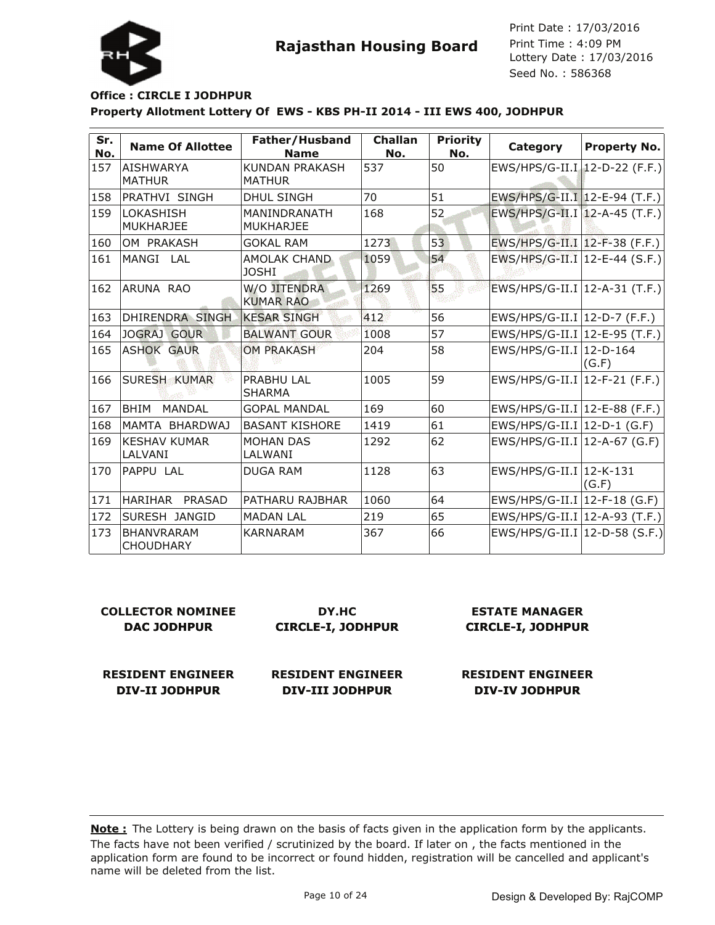

# **Rajasthan Housing Board**

Lottery Date : 17/03/2016 Seed No. : 586368 Print Date : 17/03/2016 Print Time : 4:09 PM

#### **Property Allotment Lottery Of EWS - KBS PH-II 2014 - III EWS 400, JODHPUR Office : CIRCLE I JODHPUR**

| Sr.<br>No. | <b>Name Of Allottee</b>               | Father/Husband<br><b>Name</b>          | <b>Challan</b><br>No. | <b>Priority</b><br>No. | Category                         | <b>Property No.</b> |
|------------|---------------------------------------|----------------------------------------|-----------------------|------------------------|----------------------------------|---------------------|
| 157        | <b>AISHWARYA</b><br><b>MATHUR</b>     | <b>KUNDAN PRAKASH</b><br><b>MATHUR</b> | 537                   | 50                     | EWS/HPS/G-II.I   12-D-22 (F.F.)  |                     |
| 158        | <b>PRATHVI SINGH</b>                  | <b>DHUL SINGH</b>                      | 70                    | 51                     | EWS/HPS/G-II.I 12-E-94 (T.F.)    |                     |
| 159        | LOKASHISH<br><b>MUKHARJEE</b>         | MANINDRANATH<br><b>MUKHARJEE</b>       | 168                   | 52                     | EWS/HPS/G-II.I   12-A-45 (T.F.)  |                     |
| 160        | OM PRAKASH                            | <b>GOKAL RAM</b>                       | 1273                  | 53                     | EWS/HPS/G-II.I   12-F-38 (F.F.)  |                     |
| 161        | MANGI LAL                             | AMOLAK CHAND<br><b>JOSHI</b>           | 1059                  | 54                     | EWS/HPS/G-II.I  12-E-44 (S.F.)   |                     |
| 162        | ARUNA RAO                             | W/O JITENDRA<br><b>KUMAR RAO</b>       | 1269                  | 55                     | $EWS/HPS/G-II.I$ 12-A-31 (T.F.)  |                     |
| 163        | DHIRENDRA SINGH                       | <b>KESAR SINGH</b>                     | 412                   | 56                     | EWS/HPS/G-II.I   12-D-7 (F.F.)   |                     |
| 164        | JOGRAJ GOUR                           | <b>BALWANT GOUR</b>                    | 1008                  | 57                     | EWS/HPS/G-II.I   12-E-95 (T.F.)  |                     |
| 165        | <b>ASHOK GAUR</b>                     | <b>OM PRAKASH</b>                      | 204                   | 58                     | EWS/HPS/G-II.I   12-D-164        | (G.F)               |
| 166        | <b>SURESH KUMAR</b>                   | <b>PRABHU LAL</b><br><b>SHARMA</b>     | 1005                  | 59                     | EWS/HPS/G-II.I   12-F-21 (F.F.)  |                     |
| 167        | BHIM<br><b>MANDAL</b>                 | <b>GOPAL MANDAL</b>                    | 169                   | 60                     | EWS/HPS/G-II.I   12-E-88 (F.F.)  |                     |
| 168        | MAMTA BHARDWAJ                        | <b>BASANT KISHORE</b>                  | 1419                  | 61                     | $EWS/HPS/G-II.I$ 12-D-1 (G.F)    |                     |
| 169        | <b>KESHAV KUMAR</b><br>LALVANI        | <b>MOHAN DAS</b><br>LALWANI            | 1292                  | 62                     | EWS/HPS/G-II.I   12-A-67 (G.F)   |                     |
| 170        | <b>PAPPU LAL</b>                      | <b>DUGA RAM</b>                        | 1128                  | 63                     | EWS/HPS/G-II.I   12-K-131        | (G.F)               |
| 171        | HARIHAR<br><b>PRASAD</b>              | PATHARU RAJBHAR                        | 1060                  | 64                     | EWS/HPS/G-II.I $ 12$ -F-18 (G.F) |                     |
| 172        | SURESH JANGID                         | <b>MADAN LAL</b>                       | 219                   | 65                     | EWS/HPS/G-II.I   12-A-93 (T.F.)  |                     |
| 173        | <b>BHANVRARAM</b><br><b>CHOUDHARY</b> | <b>KARNARAM</b>                        | 367                   | 66                     | EWS/HPS/G-II.I   12-D-58 (S.F.)  |                     |

| <b>COLLECTOR NOMINEE</b> | DY.HC                    | <b>ESTATE MANAGER</b>    |
|--------------------------|--------------------------|--------------------------|
| <b>DAC JODHPUR</b>       | <b>CIRCLE-I, JODHPUR</b> | <b>CIRCLE-I, JODHPUR</b> |
| <b>RESIDENT ENGINEER</b> | <b>RESIDENT ENGINEER</b> | <b>RESIDENT ENGINEER</b> |

**DIV-III JODHPUR**

The facts have not been verified / scrutinized by the board. If later on , the facts mentioned in the application form are found to be incorrect or found hidden, registration will be cancelled and applicant's name will be deleted from the list. **Note :** The Lottery is being drawn on the basis of facts given in the application form by the applicants.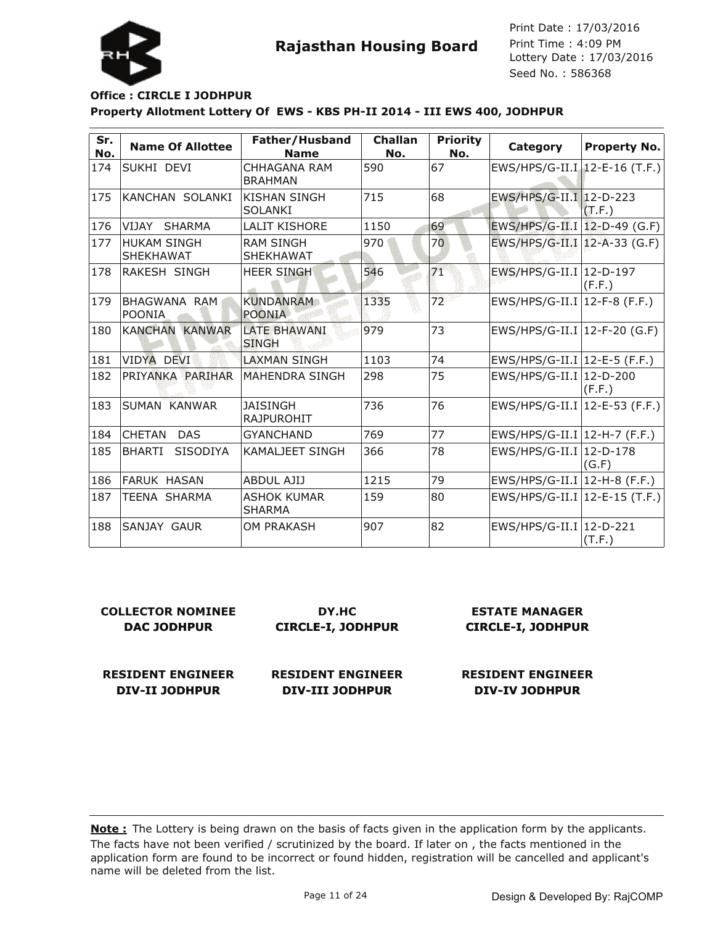

# **Rajasthan Housing Board**

Lottery Date : 17/03/2016 Seed No. : 586368 Print Date : 17/03/2016 Print Time : 4:09 PM

#### **Property Allotment Lottery Of EWS - KBS PH-II 2014 - III EWS 400, JODHPUR Office : CIRCLE I JODHPUR**

| Sr.<br>No. | <b>Name Of Allottee</b>                | Father/Husband<br><b>Name</b>         | <b>Challan</b><br>No. | <b>Priority</b><br>No. | Category                        | <b>Property No.</b> |
|------------|----------------------------------------|---------------------------------------|-----------------------|------------------------|---------------------------------|---------------------|
| 174        | SUKHI DEVI                             | CHHAGANA RAM<br><b>BRAHMAN</b>        | 590                   | 67                     | EWS/HPS/G-II.I   12-E-16 (T.F.) |                     |
| 175        | KANCHAN SOLANKI                        | <b>KISHAN SINGH</b><br><b>SOLANKI</b> | 715                   | 68                     | EWS/HPS/G-II.I 12-D-223         | (T.F.)              |
| 176        | VIJAY SHARMA                           | <b>LALIT KISHORE</b>                  | 1150                  | 69                     | EWS/HPS/G-II.I   12-D-49 (G.F)  |                     |
| 177        | <b>HUKAM SINGH</b><br><b>SHEKHAWAT</b> | <b>RAM SINGH</b><br><b>SHEKHAWAT</b>  | 970                   | 70                     | EWS/HPS/G-II.I   12-A-33 (G.F)  |                     |
| 178        | RAKESH SINGH                           | <b>HEER SINGH</b>                     | 546                   | 71                     | EWS/HPS/G-II.I   12-D-197       | (F.F.)              |
| 179        | BHAGWANA RAM<br>POONIA                 | <b>KUNDANRAM</b><br><b>POONIA</b>     | 1335                  | 72                     | EWS/HPS/G-II.I   12-F-8 (F.F.)  |                     |
| 180        | KANCHAN KANWAR                         | <b>LATE BHAWANI</b><br><b>SINGH</b>   | 979                   | 73                     | EWS/HPS/G-II.I   12-F-20 (G.F)  |                     |
| 181        | <b>VIDYA DEVI</b>                      | <b>LAXMAN SINGH</b>                   | 1103                  | 74                     | $EWS/HPS/G-II.I$ 12-E-5 (F.F.)  |                     |
| 182        | PRIYANKA PARIHAR                       | <b>MAHENDRA SINGH</b>                 | 298                   | 75                     | EWS/HPS/G-II.I   12-D-200       | (F.F.)              |
| 183        | SUMAN KANWAR                           | <b>JAISINGH</b><br><b>RAJPUROHIT</b>  | 736                   | 76                     | EWS/HPS/G-II.I   12-E-53 (F.F.) |                     |
| 184        | <b>CHETAN</b><br><b>DAS</b>            | <b>GYANCHAND</b>                      | 769                   | 77                     | EWS/HPS/G-II.I   12-H-7 (F.F.)  |                     |
| 185        | <b>BHARTI</b><br><b>SISODIYA</b>       | <b>KAMALJEET SINGH</b>                | 366                   | 78                     | EWS/HPS/G-II.I   12-D-178       | (G.F)               |
| 186        | <b>FARUK HASAN</b>                     | <b>ABDUL AJIJ</b>                     | 1215                  | 79                     | $EWS/HPS/G-II.I$ 12-H-8 (F.F.)  |                     |
| 187        | <b>TEENA SHARMA</b>                    | <b>ASHOK KUMAR</b><br><b>SHARMA</b>   | 159                   | 80                     | $EWS/HPS/G-II.I$ 12-E-15 (T.F.) |                     |
| 188        | ISANJAY GAUR                           | <b>OM PRAKASH</b>                     | 907                   | 82                     | EWS/HPS/G-II.I   12-D-221       | (T.F.)              |

| <b>COLLECTOR NOMINEE</b> | DY.HC                    | <b>ESTATE MANAGER</b>    |
|--------------------------|--------------------------|--------------------------|
| <b>DAC JODHPUR</b>       | <b>CIRCLE-I, JODHPUR</b> | <b>CIRCLE-I, JODHPUR</b> |
| <b>RESIDENT ENGINEER</b> | <b>RESIDENT ENGINEER</b> | <b>RESIDENT ENGINEER</b> |

**DIV-III JODHPUR**

The facts have not been verified / scrutinized by the board. If later on , the facts mentioned in the application form are found to be incorrect or found hidden, registration will be cancelled and applicant's name will be deleted from the list. **Note :** The Lottery is being drawn on the basis of facts given in the application form by the applicants.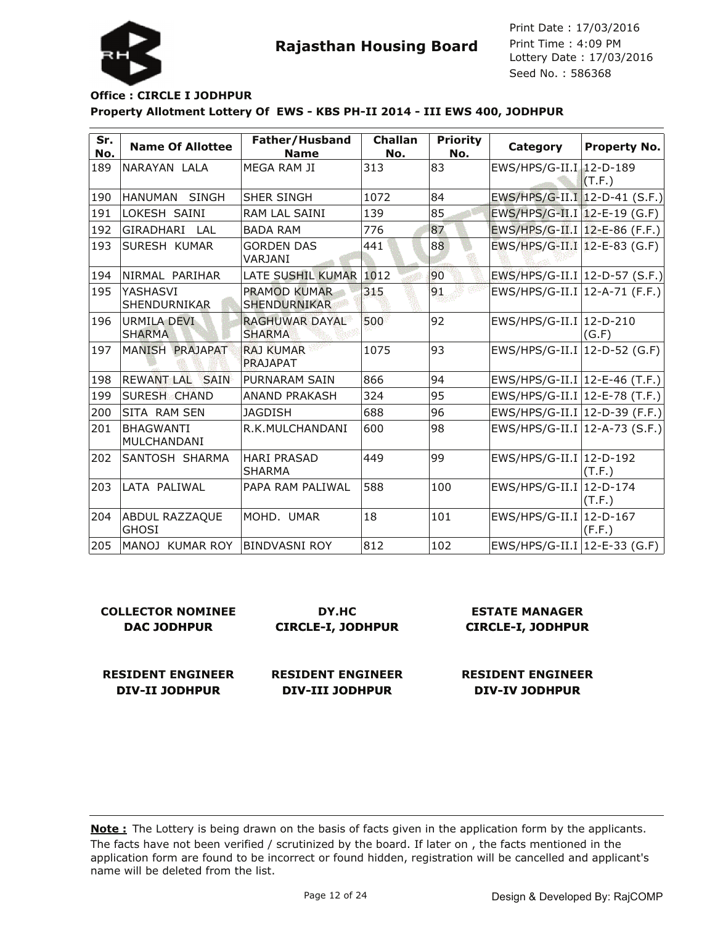

### **Property Allotment Lottery Of EWS - KBS PH-II 2014 - III EWS 400, JODHPUR Office : CIRCLE I JODHPUR**

| Sr.<br>No. | <b>Name Of Allottee</b>             | Father/Husband<br><b>Name</b>          | <b>Challan</b><br>No. | <b>Priority</b><br>No. | Category                         | <b>Property No.</b> |
|------------|-------------------------------------|----------------------------------------|-----------------------|------------------------|----------------------------------|---------------------|
| 189        | NARAYAN LALA                        | MEGA RAM JI                            | 313                   | 83                     | EWS/HPS/G-II.I   12-D-189        | (T.F.)              |
| 190        | HANUMAN SINGH                       | <b>SHER SINGH</b>                      | 1072                  | 84                     | EWS/HPS/G-II.I   12-D-41 (S.F.)  |                     |
| 191        | LOKESH SAINI                        | <b>RAM LAL SAINI</b>                   | 139                   | 85                     | EWS/HPS/G-II.I 12-E-19 (G.F)     |                     |
| 192        | GIRADHARI<br>LAL                    | <b>BADA RAM</b>                        | 776                   | 87                     | EWS/HPS/G-II.I   12-E-86 (F.F.)  |                     |
| 193        | <b>SURESH KUMAR</b>                 | <b>GORDEN DAS</b><br>VARJANI           | 441                   | 88                     | EWS/HPS/G-II.I   12-E-83 (G.F)   |                     |
| 194        | NIRMAL PARIHAR                      | LATE SUSHIL KUMAR                      | 1012                  | 90                     | EWS/HPS/G-II.I   12-D-57 (S.F.)  |                     |
| 195        | YASHASVI<br>SHENDURNIKAR            | PRAMOD KUMAR<br>SHENDURNIKAR           | 315                   | 91                     | $EWS/HPS/G-II.I$ 12-A-71 (F.F.)  |                     |
| 196        | <b>URMILA DEVI</b><br><b>SHARMA</b> | <b>RAGHUWAR DAYAL</b><br><b>SHARMA</b> | 500                   | 92                     | EWS/HPS/G-II.I   12-D-210        | (G.F)               |
| 197        | MANISH PRAJAPAT                     | <b>RAJ KUMAR</b><br>PRAJAPAT           | 1075                  | 93                     | EWS/HPS/G-II.I   12-D-52 (G.F)   |                     |
| 198        | REWANT LAL SAIN                     | PURNARAM SAIN                          | 866                   | 94                     | EWS/HPS/G-II.I   12-E-46 (T.F.)  |                     |
| 199        | <b>SURESH CHAND</b>                 | <b>ANAND PRAKASH</b>                   | 324                   | 95                     | EWS/HPS/G-II.I   12-E-78 (T.F.)  |                     |
| 200        | SITA RAM SEN                        | <b>JAGDISH</b>                         | 688                   | 96                     | EWS/HPS/G-II.I $ 12-D-39$ (F.F.) |                     |
| 201        | <b>BHAGWANTI</b><br>MULCHANDANI     | R.K.MULCHANDANI                        | 600                   | 98                     | $EWS/HPS/G-II.I$ 12-A-73 (S.F.)  |                     |
| 202        | SANTOSH SHARMA                      | <b>HARI PRASAD</b><br><b>SHARMA</b>    | 449                   | 99                     | EWS/HPS/G-II.I   12-D-192        | (T.F.)              |
| 203        | LATA PALIWAL                        | PAPA RAM PALIWAL                       | 588                   | 100                    | EWS/HPS/G-II.I   12-D-174        | (T.F.)              |
| 204        | ABDUL RAZZAQUE<br><b>GHOSI</b>      | MOHD. UMAR                             | 18                    | 101                    | EWS/HPS/G-II.I   12-D-167        | (F.F.)              |
| 205        | MANOJ KUMAR ROY                     | IBINDVASNI ROY                         | 812                   | 102                    | EWS/HPS/G-II.I   12-E-33 (G.F)   |                     |

| <b>COLLECTOR NOMINEE</b> | DY.HC                    | <b>ESTATE MANAGER</b>    |
|--------------------------|--------------------------|--------------------------|
| <b>DAC JODHPUR</b>       | <b>CIRCLE-I, JODHPUR</b> | <b>CIRCLE-I, JODHPUR</b> |
| <b>RESIDENT ENGINEER</b> | <b>RESIDENT ENGINEER</b> | <b>RESIDENT ENGINEER</b> |
| <b>DIV-II JODHPUR</b>    | <b>DIV-III JODHPUR</b>   | <b>DIV-IV JODHPUR</b>    |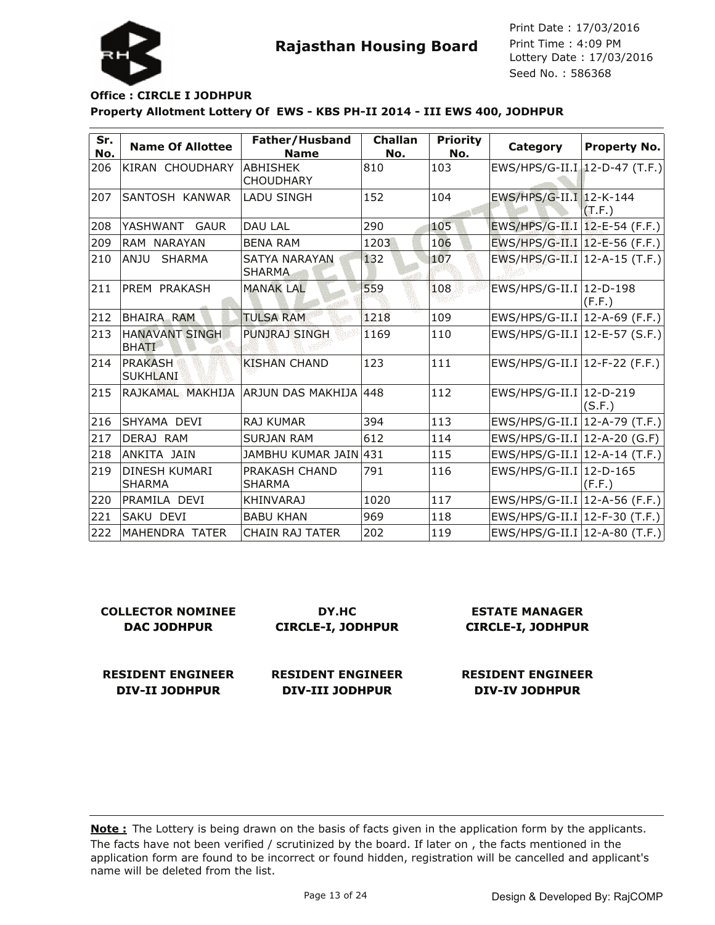

### **Property Allotment Lottery Of EWS - KBS PH-II 2014 - III EWS 400, JODHPUR Office : CIRCLE I JODHPUR**

| Sr.<br>No. | <b>Name Of Allottee</b>               | Father/Husband<br><b>Name</b>             | <b>Challan</b><br>No. | <b>Priority</b><br>No. | Category                        | <b>Property No.</b> |
|------------|---------------------------------------|-------------------------------------------|-----------------------|------------------------|---------------------------------|---------------------|
| 206        | <b>KIRAN CHOUDHARY</b>                | ABHISHEK<br><b>CHOUDHARY</b>              | 810                   | 103                    | $EWS/HPS/G-II.I$ 12-D-47 (T.F.) |                     |
| 207        | SANTOSH KANWAR                        | <b>LADU SINGH</b>                         | 152                   | 104                    | EWS/HPS/G-II.I   12-K-144       | (T.F.)              |
| 208        | YASHWANT<br><b>GAUR</b>               | <b>DAU LAL</b>                            | 290                   | 105                    | EWS/HPS/G-II.I   12-E-54 (F.F.) |                     |
| 209        | RAM NARAYAN                           | <b>BENA RAM</b>                           | 1203                  | 106                    | EWS/HPS/G-II.I   12-E-56 (F.F.) |                     |
| 210        | ANJU<br><b>SHARMA</b>                 | <b>SATYA NARAYAN</b><br><b>SHARMA</b>     | 132                   | 107                    | $EWS/HPS/G-II.I$ 12-A-15 (T.F.) |                     |
| 211        | <b>PREM PRAKASH</b>                   | <b>MANAK LAL</b>                          | 559                   | 108                    | EWS/HPS/G-II.I   12-D-198       | (F.F.)              |
| 212        | BHAIRA RAM                            | <b>TULSA RAM</b>                          | 1218                  | 109                    | $EWS/HPS/G-II.I$ 12-A-69 (F.F.) |                     |
| 213        | <b>HANAVANT SINGH</b><br><b>BHATI</b> | <b>PUNJRAJ SINGH</b>                      | 1169                  | 110                    | $EWS/HPS/G-II.I$ 12-E-57 (S.F.) |                     |
| 214        | <b>PRAKASH</b><br><b>SUKHLANI</b>     | <b>KISHAN CHAND</b>                       | 123                   | 111                    | EWS/HPS/G-II.I   12-F-22 (F.F.) |                     |
| 215        |                                       | RAJKAMAL: MAKHIJA  ARJUN DAS MAKHIJA  448 |                       | 112                    | EWS/HPS/G-II.I   12-D-219       | (S.F.)              |
| 216        | SHYAMA DEVI                           | <b>RAJ KUMAR</b>                          | 394                   | 113                    | $EWS/HPS/G-II.I$ 12-A-79 (T.F.) |                     |
| 217        | DERAJ RAM                             | <b>SURJAN RAM</b>                         | 612                   | 114                    | EWS/HPS/G-II.I   12-A-20 (G.F)  |                     |
| 218        | ANKITA JAIN                           | JAMBHU KUMAR JAIN 431                     |                       | 115                    | $EWS/HPS/G-II.I$ 12-A-14 (T.F.) |                     |
| 219        | <b>DINESH KUMARI</b><br><b>SHARMA</b> | <b>PRAKASH CHAND</b><br><b>SHARMA</b>     | 791                   | 116                    | EWS/HPS/G-II.I   12-D-165       | (F.F.)              |
| 220        | PRAMILA DEVI                          | <b>KHINVARAJ</b>                          | 1020                  | 117                    | $EWS/HPS/G-II.I$ 12-A-56 (F.F.) |                     |
| 221        | SAKU DEVI                             | <b>BABU KHAN</b>                          | 969                   | 118                    | EWS/HPS/G-II.I   12-F-30 (T.F.) |                     |
| 222        | MAHENDRA TATER                        | <b>CHAIN RAJ TATER</b>                    | 202                   | 119                    | $EWS/HPS/G-II.I$ 12-A-80 (T.F.) |                     |

| <b>COLLECTOR NOMINEE</b> | DY.HC                    | <b>ESTATE MANAGER</b>    |
|--------------------------|--------------------------|--------------------------|
| <b>DAC JODHPUR</b>       | <b>CIRCLE-I, JODHPUR</b> | <b>CIRCLE-I, JODHPUR</b> |
| <b>RESIDENT ENGINEER</b> | <b>RESIDENT ENGINEER</b> | <b>RESIDENT ENGINEER</b> |
| DIV-II JODHPUR           | DIV-III JODHPUR          | <b>DIV-IV JODHPUR</b>    |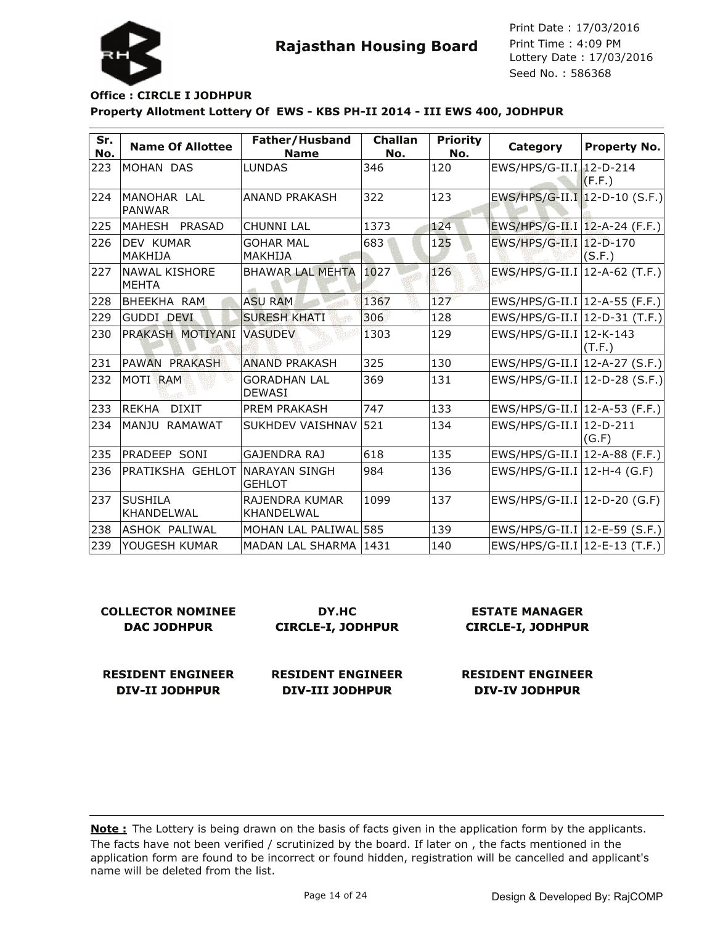

Lottery Date : 17/03/2016 Seed No. : 586368 Print Date : 17/03/2016 Print Time : 4:09 PM

### **Property Allotment Lottery Of EWS - KBS PH-II 2014 - III EWS 400, JODHPUR Office : CIRCLE I JODHPUR**

| Sr.<br>No. | <b>Name Of Allottee</b>              | Father/Husband<br><b>Name</b>         | <b>Challan</b><br>No. | <b>Priority</b><br>No. | Category                         | <b>Property No.</b> |
|------------|--------------------------------------|---------------------------------------|-----------------------|------------------------|----------------------------------|---------------------|
| 223        | MOHAN DAS                            | <b>LUNDAS</b>                         | 346                   | 120                    | EWS/HPS/G-II.I 12-D-214          | (F.F.)              |
| 224        | MANOHAR LAL<br><b>PANWAR</b>         | <b>ANAND PRAKASH</b>                  | 322                   | 123                    | EWS/HPS/G-II.I 12-D-10 (S.F.)    |                     |
| 225        | MAHESH PRASAD                        | <b>CHUNNI LAL</b>                     | 1373                  | 124                    | EWS/HPS/G-II.I   12-A-24 (F.F.)  |                     |
| 226        | DEV KUMAR<br>MAKHIJA                 | <b>GOHAR MAL</b><br>MAKHIJA           | 683                   | 125                    | EWS/HPS/G-II.I   12-D-170        | (S.F.)              |
| 227        | <b>NAWAL KISHORE</b><br><b>MEHTA</b> | <b>BHAWAR LAL MEHTA</b>               | 1027                  | 126                    | EWS/HPS/G-II.I   12-A-62 (T.F.)  |                     |
| 228        | BHEEKHA RAM                          | <b>ASU RAM</b>                        | 1367                  | 127                    | EWS/HPS/G-II.I   12-A-55 (F.F.)  |                     |
| 229        | <b>GUDDI DEVI</b>                    | <b>SURESH KHATI</b>                   | 306                   | 128                    | $ EWS/HPS/G-II.I 12-D-31$ (T.F.) |                     |
| 230        | PRAKASH MOTIYANI                     | <b>VASUDEV</b>                        | 1303                  | 129                    | EWS/HPS/G-II.I   12-K-143        | (T.F.)              |
| 231        | <b>PAWAN PRAKASH</b>                 | <b>ANAND PRAKASH</b>                  | 325                   | 130                    | $ EWS/HPS/G-II.I 12-A-27(S.F.) $ |                     |
| 232        | MOTI RAM                             | <b>GORADHAN LAL</b><br><b>DEWASI</b>  | 369                   | 131                    | $ EWS/HPS/G-II.I 12-D-28(S.F.) $ |                     |
| 233        | <b>REKHA</b><br><b>DIXIT</b>         | PREM PRAKASH                          | 747                   | 133                    | EWS/HPS/G-II.I   12-A-53 (F.F.)  |                     |
| 234        | MANJU<br>RAMAWAT                     | <b>SUKHDEV VAISHNAV</b>               | 521                   | 134                    | EWS/HPS/G-II.I   12-D-211        | (G.F)               |
| 235        | PRADEEP SONI                         | GAJENDRA RAJ                          | 618                   | 135                    | EWS/HPS/G-II.I   12-A-88 (F.F.)  |                     |
| 236        | PRATIKSHA GEHLOT                     | <b>NARAYAN SINGH</b><br><b>GEHLOT</b> | 984                   | 136                    | EWS/HPS/G-II.I   12-H-4 (G.F)    |                     |
| 237        | <b>SUSHILA</b><br>KHANDELWAL         | RAJENDRA KUMAR<br>KHANDELWAL          | 1099                  | 137                    | EWS/HPS/G-II.I   12-D-20 (G.F)   |                     |
| 238        | ASHOK PALIWAL                        | MOHAN LAL PALIWAL 585                 |                       | 139                    | EWS/HPS/G-II.I  12-E-59 (S.F.)   |                     |
| 239        | YOUGESH KUMAR                        | MADAN LAL SHARMA   1431               |                       | 140                    | EWS/HPS/G-II.I   12-E-13 (T.F.)  |                     |

| <b>COLLECTOR NOMINEE</b> | DY.HC                    | <b>ESTATE MANAGER</b>    |
|--------------------------|--------------------------|--------------------------|
| <b>DAC JODHPUR</b>       | <b>CIRCLE-I, JODHPUR</b> | <b>CIRCLE-I, JODHPUR</b> |
|                          |                          |                          |
|                          |                          |                          |
| <b>RESIDENT ENGINEER</b> | <b>RESIDENT ENGINEER</b> | <b>RESIDENT ENGINEER</b> |
| DIV-II JODHPUR           | DIV-III JODHPUR          | <b>DIV-IV JODHPUR</b>    |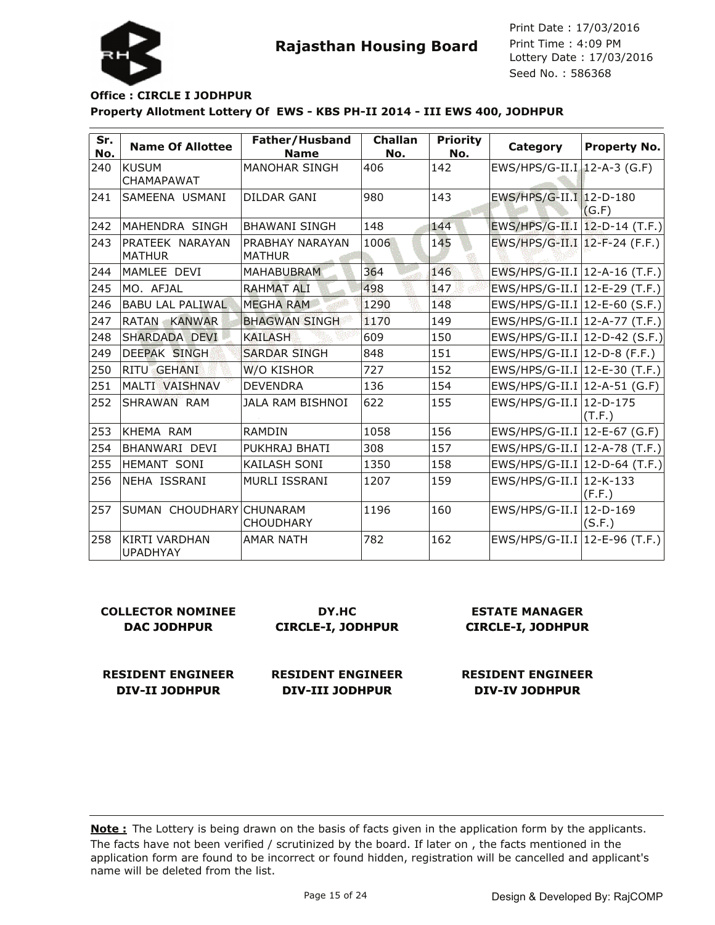

Lottery Date : 17/03/2016 Seed No. : 586368 Print Date : 17/03/2016 Print Time : 4:09 PM

### **Property Allotment Lottery Of EWS - KBS PH-II 2014 - III EWS 400, JODHPUR Office : CIRCLE I JODHPUR**

| Sr.<br>No. | <b>Name Of Allottee</b>                 | Father/Husband<br><b>Name</b>           | <b>Challan</b><br>No. | <b>Priority</b><br>No. | Category                        | <b>Property No.</b> |
|------------|-----------------------------------------|-----------------------------------------|-----------------------|------------------------|---------------------------------|---------------------|
| 240        | <b>KUSUM</b><br><b>CHAMAPAWAT</b>       | <b>MANOHAR SINGH</b>                    | 406                   | 142                    | EWS/HPS/G-II.I 12-A-3 (G.F)     |                     |
| 241        | ISAMEENA USMANI                         | DILDAR GANI                             | 980                   | 143                    | EWS/HPS/G-II.I 12-D-180         | (G.F)               |
| 242        | MAHENDRA SINGH                          | <b>BHAWANI SINGH</b>                    | 148                   | 144                    | $EWS/HPS/G-II.I$ 12-D-14 (T.F.) |                     |
| 243        | PRATEEK NARAYAN<br><b>MATHUR</b>        | <b>PRABHAY NARAYAN</b><br><b>MATHUR</b> | 1006                  | 145                    | EWS/HPS/G-II.I   12-F-24 (F.F.) |                     |
| 244        | MAMLEE DEVI                             | <b>MAHABUBRAM</b>                       | 364                   | 146                    | EWS/HPS/G-II.I   12-A-16 (T.F.) |                     |
| 245        | MO. AFJAL                               | <b>RAHMAT ALI</b>                       | 498                   | 147                    | EWS/HPS/G-II.I   12-E-29 (T.F.) |                     |
| 246        | <b>BABU LAL PALIWAL</b>                 | <b>MEGHA RAM</b>                        | 1290                  | 148                    | $EWS/HPS/G-II.I$ 12-E-60 (S.F.) |                     |
| 247        | RATAN KANWAR                            | <b>BHAGWAN SINGH</b>                    | 1170                  | 149                    | EWS/HPS/G-II.I   12-A-77 (T.F.) |                     |
| 248        | SHARDADA DEVI                           | <b>KAILASH</b>                          | 609                   | 150                    | $EWS/HPS/G-II.I$ 12-D-42 (S.F.) |                     |
| 249        | <b>DEEPAK SINGH</b>                     | <b>SARDAR SINGH</b>                     | 848                   | 151                    | EWS/HPS/G-II.I $ 12-D-8$ (F.F.) |                     |
| 250        | <b>RITU GEHANI</b>                      | W/O KISHOR                              | 727                   | 152                    | EWS/HPS/G-II.I   12-E-30 (T.F.) |                     |
| 251        | <b>MALTI VAISHNAV</b>                   | <b>DEVENDRA</b>                         | 136                   | 154                    | EWS/HPS/G-II.I   12-A-51 (G.F)  |                     |
| 252        | SHRAWAN RAM                             | <b>JALA RAM BISHNOI</b>                 | 622                   | 155                    | EWS/HPS/G-II.I   12-D-175       | (T.F.)              |
| 253        | KHEMA RAM                               | <b>RAMDIN</b>                           | 1058                  | 156                    | EWS/HPS/G-II.I   12-E-67 (G.F)  |                     |
| 254        | BHANWARI DEVI                           | PUKHRAJ BHATI                           | 308                   | 157                    | EWS/HPS/G-II.I   12-A-78 (T.F.) |                     |
| 255        | <b>HEMANT SONI</b>                      | <b>KAILASH SONI</b>                     | 1350                  | 158                    | EWS/HPS/G-II.I   12-D-64 (T.F.) |                     |
| 256        | NEHA ISSRANI                            | <b>MURLI ISSRANI</b>                    | 1207                  | 159                    | EWS/HPS/G-II.I 12-K-133         | (F.F.)              |
| 257        | SUMAN CHOUDHARY CHUNARAM                | <b>CHOUDHARY</b>                        | 1196                  | 160                    | EWS/HPS/G-II.I   12-D-169       | (S.F.)              |
| 258        | <b>KIRTI VARDHAN</b><br><b>UPADHYAY</b> | <b>AMAR NATH</b>                        | 782                   | 162                    | EWS/HPS/G-II.I   12-E-96 (T.F.) |                     |

| COLLECTOR NOMINEE  | DY.HC                    | <b>ESTATE MANAGER</b>    |
|--------------------|--------------------------|--------------------------|
| <b>DAC JODHPUR</b> | <b>CIRCLE-I, JODHPUR</b> | <b>CIRCLE-I, JODHPUR</b> |
|                    |                          |                          |
|                    |                          |                          |

**RESIDENT ENGINEER DIV-II JODHPUR**

**RESIDENT ENGINEER DIV-III JODHPUR**

**RESIDENT ENGINEER DIV-IV JODHPUR**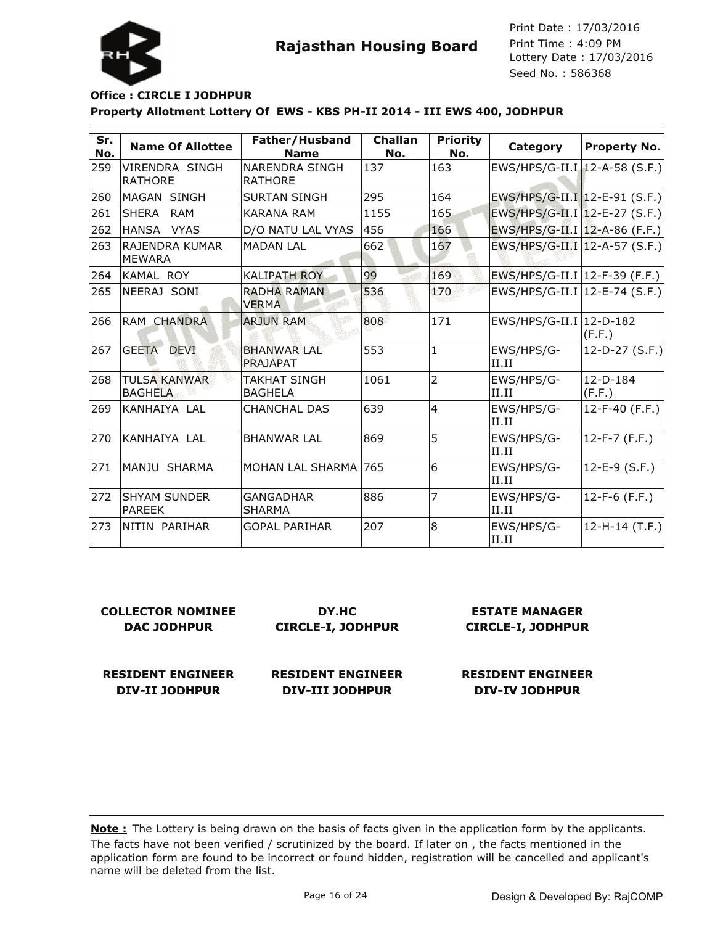



### **Property Allotment Lottery Of EWS - KBS PH-II 2014 - III EWS 400, JODHPUR Office : CIRCLE I JODHPUR**

| Sr.<br>No. | <b>Name Of Allottee</b>               | Father/Husband<br><b>Name</b>           | <b>Challan</b><br>No. | <b>Priority</b><br>No. | Category                        | Property No.         |
|------------|---------------------------------------|-----------------------------------------|-----------------------|------------------------|---------------------------------|----------------------|
| 259        | VIRENDRA SINGH<br><b>RATHORE</b>      | <b>NARENDRA SINGH</b><br><b>RATHORE</b> | 137                   | 163                    | $EWS/HPS/G-II.I$ 12-A-58 (S.F.) |                      |
| 260        | MAGAN SINGH                           | <b>SURTAN SINGH</b>                     | 295                   | 164                    | $EWS/HPS/G-II.I$ 12-E-91 (S.F.) |                      |
| 261        | <b>SHERA</b><br>RAM                   | <b>KARANA RAM</b>                       | 1155                  | 165                    | EWS/HPS/G-II.I   12-E-27 (S.F.) |                      |
| 262        | HANSA VYAS                            | D/O NATU LAL VYAS                       | 456                   | 166                    | EWS/HPS/G-II.I   12-A-86 (F.F.) |                      |
| 263        | RAJENDRA KUMAR<br><b>MEWARA</b>       | <b>MADAN LAL</b>                        | 662                   | 167                    | EWS/HPS/G-II.I   12-A-57 (S.F.) |                      |
| 264        | KAMAL ROY                             | <b>KALIPATH ROY</b>                     | 99                    | 169                    | EWS/HPS/G-II.I   12-F-39 (F.F.) |                      |
| 265        | NEERAJ SONI                           | <b>RADHA RAMAN</b><br><b>VERMA</b>      | 536                   | 170                    | $EWS/HPS/G-II.I$ 12-E-74 (S.F.) |                      |
| 266        | RAM CHANDRA                           | <b>ARJUN RAM</b>                        | 808                   | 171                    | EWS/HPS/G-II.I   12-D-182       | (F.F.)               |
| 267        | <b>GEETA</b><br><b>DEVI</b>           | <b>BHANWAR LAL</b><br>PRAJAPAT          | 553                   | $\overline{1}$         | EWS/HPS/G-<br>II.II             | 12-D-27 $(S.F.)$     |
| 268        | <b>TULSA KANWAR</b><br><b>BAGHELA</b> | <b>TAKHAT SINGH</b><br><b>BAGHELA</b>   | 1061                  | $\overline{2}$         | EWS/HPS/G-<br>II.II             | $12-D-184$<br>(F.F.) |
| 269        | KANHAIYA LAL                          | <b>CHANCHAL DAS</b>                     | 639                   | $\overline{4}$         | EWS/HPS/G-<br>II.II             | 12-F-40 $(F.F.)$     |
| 270        | KANHAIYA LAL                          | <b>BHANWAR LAL</b>                      | 869                   | 5                      | EWS/HPS/G-<br>II.II             | 12-F-7 (F.F.)        |
| 271        | MANJU SHARMA                          | MOHAN LAL SHARMA                        | 765                   | 6                      | EWS/HPS/G-<br>II.II             | 12-E-9 (S.F.)        |
| 272        | <b>ISHYAM SUNDER</b><br><b>PAREEK</b> | <b>GANGADHAR</b><br><b>SHARMA</b>       | 886                   | 7                      | EWS/HPS/G-<br>II.II             | 12-F-6 (F.F.)        |
| 273        | NITIN PARIHAR                         | <b>GOPAL PARIHAR</b>                    | 207                   | $\overline{8}$         | EWS/HPS/G-<br>II.II             | $12-H-14$ (T.F.)     |

| <b>COLLECTOR NOMINEE</b> | DY.HC                    | <b>ESTATE MANAGER</b>    |
|--------------------------|--------------------------|--------------------------|
| <b>DAC JODHPUR</b>       | <b>CIRCLE-I, JODHPUR</b> | <b>CIRCLE-I, JODHPUR</b> |
| <b>RESIDENT ENGINEER</b> | <b>RESIDENT ENGINEER</b> | <b>RESIDENT ENGINEER</b> |
| <b>DIV-II JODHPUR</b>    | <b>DIV-III JODHPUR</b>   | <b>DIV-IV JODHPUR</b>    |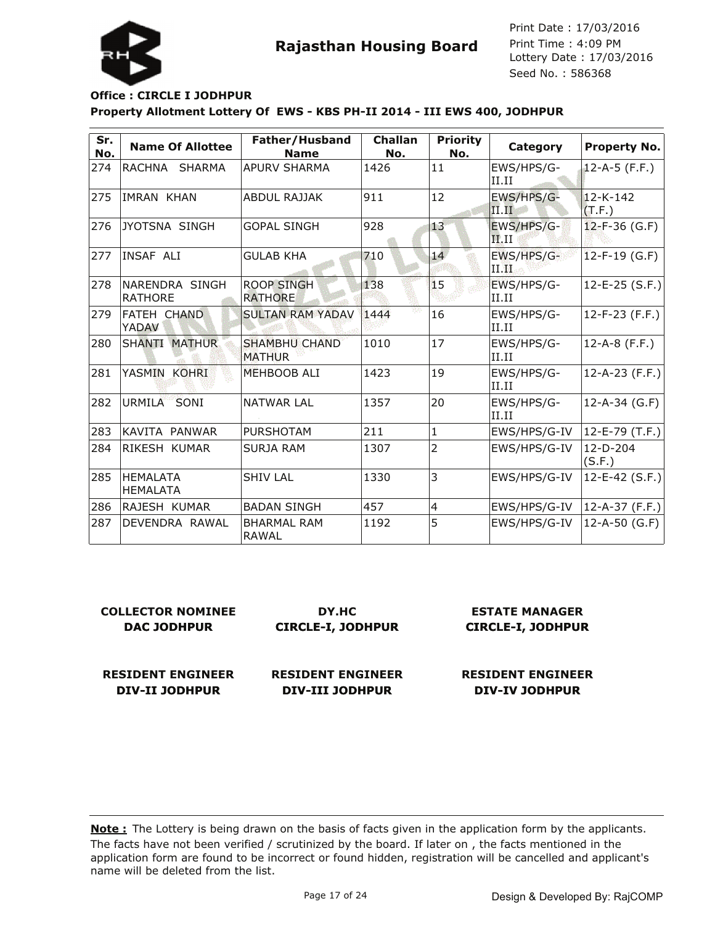

# **Rajasthan Housing Board**

Lottery Date : 17/03/2016 Seed No. : 586368 Print Date : 17/03/2016 Print Time : 4:09 PM

### **Property Allotment Lottery Of EWS - KBS PH-II 2014 - III EWS 400, JODHPUR Office : CIRCLE I JODHPUR**

| Sr.<br>No. | <b>Name Of Allottee</b>            | Father/Husband<br><b>Name</b>         | <b>Challan</b><br>No. | <b>Priority</b><br>No. | Category             | <b>Property No.</b>      |
|------------|------------------------------------|---------------------------------------|-----------------------|------------------------|----------------------|--------------------------|
| 274        | RACHNA SHARMA                      | <b>APURV SHARMA</b>                   | 1426                  | 11                     | EWS/HPS/G-<br>II.II  | $12 - A - 5$ (F.F.)      |
| 275        | <b>IMRAN KHAN</b>                  | <b>ABDUL RAJJAK</b>                   | 911                   | 12                     | EWS/HPS/G-<br>II.II  | $12 - K - 142$<br>(T.F.) |
| 276        | JYOTSNA SINGH                      | <b>GOPAL SINGH</b>                    | 928                   | 13                     | EWS/HPS/G-<br>II.II  | $12-F-36$ (G.F)          |
| 277        | INSAF ALI                          | <b>GULAB KHA</b>                      | 710                   | 14                     | EWS/HPS/G-<br>11. HL | $12-F-19$ (G.F)          |
| 278        | NARENDRA SINGH<br><b>RATHORE</b>   | <b>ROOP SINGH</b><br><b>RATHORE</b>   | 138                   | 15                     | EWS/HPS/G-<br>II.II  | $12-E-25$ (S.F.)         |
| 279        | FATEH CHAND<br>YADAV               | <b>SULTAN RAM YADAV</b>               | 1444                  | 16                     | EWS/HPS/G-<br>II.II  | $12-F-23$ (F.F.)         |
| 280        | <b>SHANTI MATHUR</b>               | <b>SHAMBHU CHAND</b><br><b>MATHUR</b> | 1010                  | 17                     | EWS/HPS/G-<br>II.II  | $12-A-8$ (F.F.)          |
| 281        | YASMIN<br><b>KOHRI</b>             | MEHBOOB ALI                           | 1423                  | 19                     | EWS/HPS/G-<br>II.II  | $12-A-23$ (F.F.)         |
| 282        | URMILA SONI                        | <b>NATWAR LAL</b>                     | 1357                  | 20                     | EWS/HPS/G-<br>II.II  | $12-A-34$ (G.F)          |
| 283        | KAVITA PANWAR                      | <b>PURSHOTAM</b>                      | 211                   | 1                      | EWS/HPS/G-IV         | 12-E-79 (T.F.)           |
| 284        | RIKESH KUMAR                       | <b>SURJA RAM</b>                      | 1307                  | $\overline{2}$         | EWS/HPS/G-IV         | 12-D-204<br>(S.F.)       |
| 285        | <b>HEMALATA</b><br><b>HEMALATA</b> | <b>SHIV LAL</b>                       | 1330                  | 3                      | EWS/HPS/G-IV         | $12-E-42$ (S.F.)         |
| 286        | RAJESH KUMAR                       | <b>BADAN SINGH</b>                    | 457                   | 4                      | EWS/HPS/G-IV         | 12-A-37 (F.F.)           |
| 287        | DEVENDRA RAWAL                     | <b>BHARMAL RAM</b><br><b>RAWAL</b>    | 1192                  | 5                      | EWS/HPS/G-IV         | 12-A-50 (G.F)            |

| <b>COLLECTOR NOMINEE</b> | DY.HC                    | <b>ESTATE MANAGER</b>    |
|--------------------------|--------------------------|--------------------------|
| <b>DAC JODHPUR</b>       | <b>CIRCLE-I, JODHPUR</b> | <b>CIRCLE-I, JODHPUR</b> |
| <b>RESIDENT ENGINEER</b> | <b>RESIDENT ENGINEER</b> | <b>RESIDENT ENGINEER</b> |

**DIV-III JODHPUR**

The facts have not been verified / scrutinized by the board. If later on , the facts mentioned in the application form are found to be incorrect or found hidden, registration will be cancelled and applicant's name will be deleted from the list. **Note :** The Lottery is being drawn on the basis of facts given in the application form by the applicants.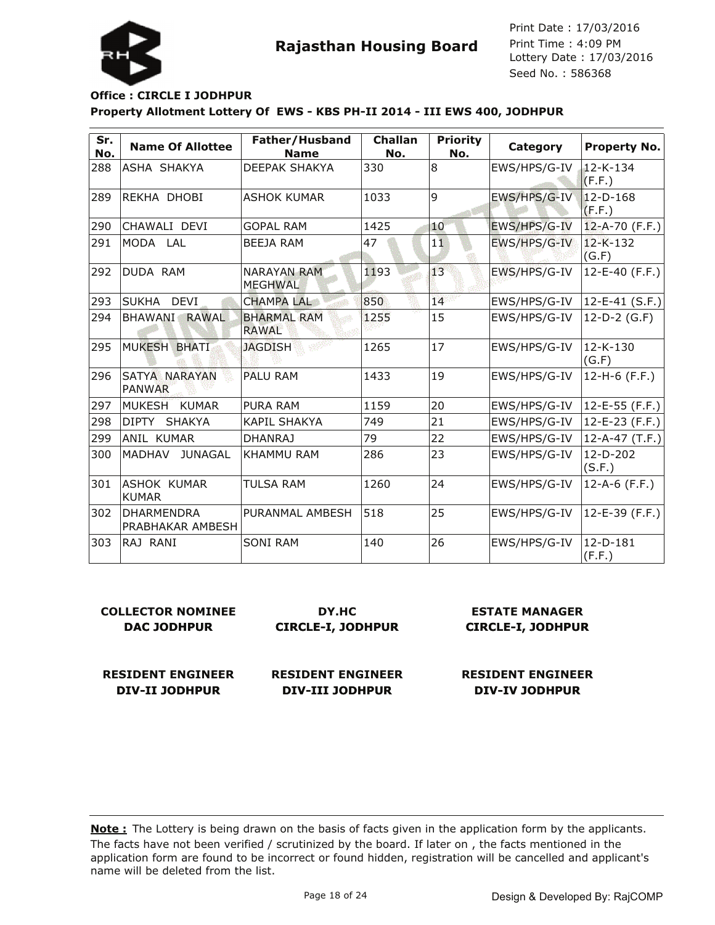

Lottery Date : 17/03/2016 Seed No. : 586368 Print Date : 17/03/2016 Print Time : 4:09 PM

### **Property Allotment Lottery Of EWS - KBS PH-II 2014 - III EWS 400, JODHPUR Office : CIRCLE I JODHPUR**

| Sr.<br>No. | <b>Name Of Allottee</b>               | Father/Husband<br><b>Name</b>        | <b>Challan</b><br>No. | <b>Priority</b><br>No. | Category     | <b>Property No.</b>      |
|------------|---------------------------------------|--------------------------------------|-----------------------|------------------------|--------------|--------------------------|
| 288        | ASHA SHAKYA                           | <b>DEEPAK SHAKYA</b>                 | 330                   | 8                      | EWS/HPS/G-IV | 12-K-134<br>(F.F.)       |
| 289        | REKHA DHOBI                           | IASHOK KUMAR                         | 1033                  | 9                      | EWS/HPS/G-IV | $12 - D - 168$<br>(F.F.) |
| 290        | CHAWALI DEVI                          | <b>GOPAL RAM</b>                     | 1425                  | 10                     | EWS/HPS/G-IV | $12 - A - 70$ (F.F.)     |
| 291        | MODA LAL                              | <b>BEEJA RAM</b>                     | 47                    | 11                     | EWS/HPS/G-IV | $12 - K - 132$<br>(G.F)  |
| 292        | DUDA RAM                              | <b>NARAYAN RAM</b><br><b>MEGHWAL</b> | 1193                  | 13                     | EWS/HPS/G-IV | $12 - E - 40$ (F.F.)     |
| 293        | <b>SUKHA</b><br><b>DEVI</b>           | <b>CHAMPA LAL</b>                    | 850                   | 14                     | EWS/HPS/G-IV | 12-E-41 (S.F.)           |
| 294        | <b>BHAWANI</b><br><b>RAWAL</b>        | <b>BHARMAL RAM</b><br><b>RAWAL</b>   | 1255                  | 15                     | EWS/HPS/G-IV | $12-D-2$ (G.F)           |
| 295        | <b>MUKESH BHATI</b>                   | <b>JAGDISH</b>                       | 1265                  | 17                     | EWS/HPS/G-IV | 12-K-130<br>(G.F)        |
| 296        | SATYA NARAYAN<br><b>PANWAR</b>        | <b>PALU RAM</b>                      | 1433                  | 19                     | EWS/HPS/G-IV | $12-H-6$ (F.F.)          |
| 297        | MUKESH<br><b>KUMAR</b>                | <b>PURA RAM</b>                      | 1159                  | 20                     | EWS/HPS/G-IV | 12-E-55 (F.F.)           |
| 298        | <b>DIPTY</b><br><b>SHAKYA</b>         | KAPIL SHAKYA                         | 749                   | 21                     | EWS/HPS/G-IV | $12-E-23$ (F.F.)         |
| 299        | ANIL KUMAR                            | <b>DHANRAJ</b>                       | 79                    | 22                     | EWS/HPS/G-IV | $12-A-47$ (T.F.)         |
| 300        | <b>JUNAGAL</b><br><b>MADHAV</b>       | KHAMMU RAM                           | 286                   | 23                     | EWS/HPS/G-IV | 12-D-202<br>(S.F.)       |
| 301        | ASHOK KUMAR<br>KUMAR                  | TULSA RAM                            | 1260                  | 24                     | EWS/HPS/G-IV | $12-A-6$ (F.F.)          |
| 302        | <b>DHARMENDRA</b><br>PRABHAKAR AMBESH | PURANMAL AMBESH                      | 518                   | 25                     | EWS/HPS/G-IV | $12 - E - 39$ (F.F.)     |
| 303        | RAJ RANI                              | <b>SONI RAM</b>                      | 140                   | 26                     | EWS/HPS/G-IV | $12 - D - 181$<br>(F.F.) |

| <b>COLLECTOR NOMINEE</b> |            |
|--------------------------|------------|
| <b>DAC JODHPUR</b>       | <b>CIR</b> |

**DY.HC CIRCLE-I, JODHPUR**

#### **ESTATE MANAGER CIRCLE-I, JODHPUR**

**RESIDENT ENGINEER DIV-II JODHPUR**

**RESIDENT ENGINEER DIV-III JODHPUR**

**RESIDENT ENGINEER DIV-IV JODHPUR**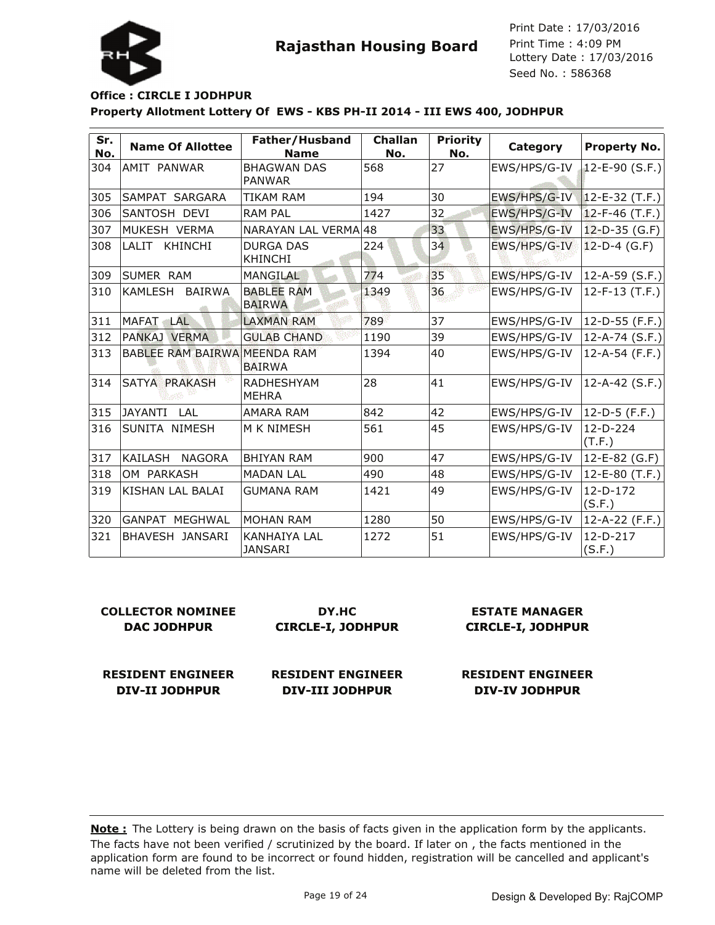

#### **Property Allotment Lottery Of EWS - KBS PH-II 2014 - III EWS 400, JODHPUR Office : CIRCLE I JODHPUR**

| Sr.<br>No. | <b>Name Of Allottee</b>         | Father/Husband<br><b>Name</b>         | Challan<br>No. | <b>Priority</b><br>No. | Category     | <b>Property No.</b>    |
|------------|---------------------------------|---------------------------------------|----------------|------------------------|--------------|------------------------|
| 304        | IAMIT PANWAR                    | <b>BHAGWAN DAS</b><br><b>PANWAR</b>   | 568            | 27                     | EWS/HPS/G-IV | $12 - E - 90$ (S.F.)   |
| 305        | SAMPAT SARGARA                  | <b>TIKAM RAM</b>                      | 194            | 30                     | EWS/HPS/G-IV | $12-E-32$ (T.F.)       |
| 306        | SANTOSH DEVI                    | <b>RAM PAL</b>                        | 1427           | 32                     | EWS/HPS/G-IV | $12-F-46$ (T.F.)       |
| 307        | MUKESH VERMA                    | NARAYAN LAL VERMA 48                  |                | 33                     | EWS/HPS/G-IV | $12-D-35$ (G.F)        |
| 308        | LALIT<br>KHINCHI                | <b>DURGA DAS</b><br><b>KHINCHI</b>    | 224            | 34                     | EWS/HPS/G-IV | $12-D-4$ (G.F)         |
| 309        | <b>SUMER RAM</b>                | MANGILAL                              | 774            | 35                     | EWS/HPS/G-IV | $ 12 - A - 59(S.F.) $  |
| 310        | <b>BAIRWA</b><br><b>KAMLESH</b> | <b>BABLEE RAM</b><br><b>BAIRWA</b>    | 1349           | 36                     | EWS/HPS/G-IV | 12-F-13 (T.F.)         |
| 311        | MAFAT .<br>LAL                  | <b>LAXMAN RAM</b>                     | 789            | 37                     | EWS/HPS/G-IV | 12-D-55 (F.F.)         |
| 312        | PANKAJ VERMA                    | <b>GULAB CHAND</b>                    | 1190           | 39                     | EWS/HPS/G-IV | $ 12 - A - 74 (S.F.) $ |
| 313        | BABLEE RAM BAIRWA MEENDA RAM    | <b>BAIRWA</b>                         | 1394           | 40                     | EWS/HPS/G-IV | 12-A-54 (F.F.)         |
| 314        | SATYA PRAKASH                   | <b>RADHESHYAM</b><br><b>MEHRA</b>     | 28             | 41                     | EWS/HPS/G-IV | $ 12 - A - 42 (S.F.) $ |
| 315        | JAYANTI<br><b>LAL</b>           | <b>AMARA RAM</b>                      | 842            | 42                     | EWS/HPS/G-IV | 12-D-5 (F.F.)          |
| 316        | SUNITA NIMESH                   | M K NIMESH                            | 561            | 45                     | EWS/HPS/G-IV | 12-D-224<br>(T.F.)     |
| 317        | KAILASH<br>NAGORA               | <b>BHIYAN RAM</b>                     | 900            | 47                     | EWS/HPS/G-IV | 12-E-82 (G.F)          |
| 318        | OM PARKASH                      | <b>MADAN LAL</b>                      | 490            | 48                     | EWS/HPS/G-IV | 12-E-80 (T.F.)         |
| 319        | <b>KISHAN LAL BALAI</b>         | <b>GUMANA RAM</b>                     | 1421           | 49                     | EWS/HPS/G-IV | $12-D-172$<br>(S.F.)   |
| 320        | IGANPAT MEGHWAL                 | <b>MOHAN RAM</b>                      | 1280           | 50                     | EWS/HPS/G-IV | 12-A-22 (F.F.)         |
| 321        | <b>BHAVESH JANSARI</b>          | <b>KANHAIYA LAL</b><br><b>JANSARI</b> | 1272           | 51                     | EWS/HPS/G-IV | 12-D-217<br>(S.F.)     |

| COLLECTOR NOMINEE  | DY.HC                    | <b>ESTATE MANAGER</b>    |
|--------------------|--------------------------|--------------------------|
| <b>DAC JODHPUR</b> | <b>CIRCLE-I, JODHPUR</b> | <b>CIRCLE-I, JODHPUR</b> |
|                    |                          |                          |

**RESIDENT ENGINEER DIV-II JODHPUR**

**RESIDENT ENGINEER DIV-III JODHPUR**

**RESIDENT ENGINEER**

**DIV-IV JODHPUR**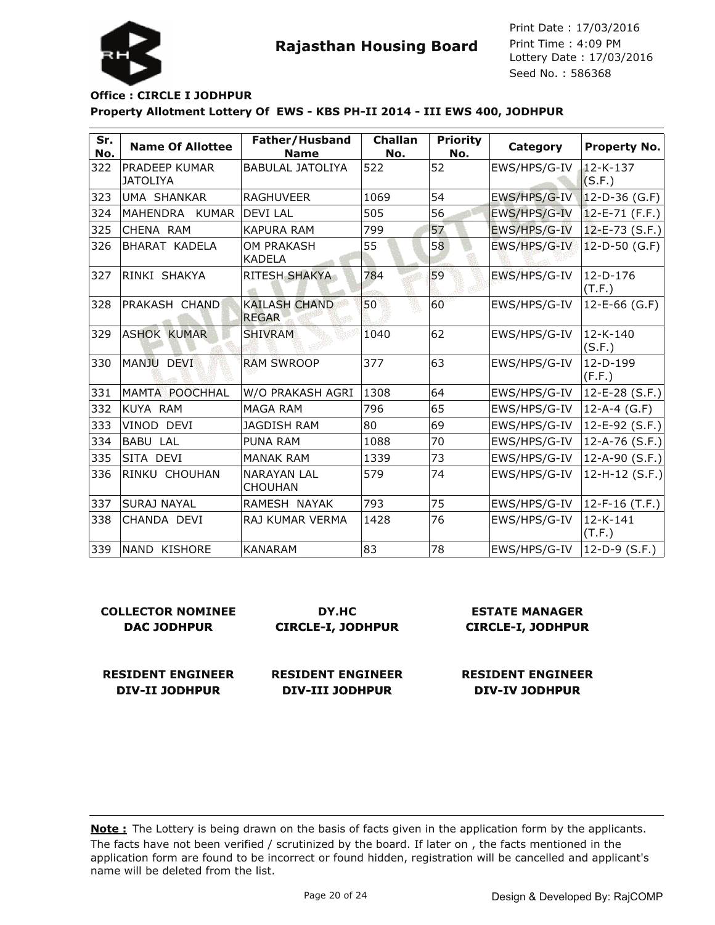

### **Property Allotment Lottery Of EWS - KBS PH-II 2014 - III EWS 400, JODHPUR Office : CIRCLE I JODHPUR**

| Sr.<br>No. | <b>Name Of Allottee</b>                 | Father/Husband<br><b>Name</b>        | Challan<br>No. | <b>Priority</b><br>No. | Category     | <b>Property No.</b>      |
|------------|-----------------------------------------|--------------------------------------|----------------|------------------------|--------------|--------------------------|
| 322        | <b>PRADEEP KUMAR</b><br><b>JATOLIYA</b> | <b>BABULAL JATOLIYA</b>              | 522            | 52                     | EWS/HPS/G-IV | $12 - K - 137$<br>(S.F.) |
| 323        | UMA SHANKAR                             | <b>RAGHUVEER</b>                     | 1069           | 54                     | EWS/HPS/G-IV | $12-D-36$ (G.F)          |
| 324        | <b>MAHENDRA</b><br><b>KUMAR</b>         | <b>DEVI LAL</b>                      | 505            | 56                     | EWS/HPS/G-IV | $12-E-71$ (F.F.)         |
| 325        | CHENA RAM                               | <b>KAPURA RAM</b>                    | 799            | 57                     | EWS/HPS/G-IV | $12 - E - 73$ (S.F.)     |
| 326        | <b>BHARAT KADELA</b>                    | OM PRAKASH<br><b>KADELA</b>          | 55             | 58                     | EWS/HPS/G-IV | $12-D-50$ (G.F)          |
| 327        | RINKI SHAKYA                            | RITESH SHAKYA                        | 784            | 59                     | EWS/HPS/G-IV | $12-D-176$<br>(T.F.)     |
| 328        | PRAKASH CHAND                           | <b>KAILASH CHAND</b><br><b>REGAR</b> | 50             | 60                     | EWS/HPS/G-IV | $12 - E - 66$ (G.F)      |
| 329        | <b>ASHOK KUMAR</b>                      | <b>SHIVRAM</b>                       | 1040           | 62                     | EWS/HPS/G-IV | 12-K-140<br>(S.F.)       |
| 330        | MANJU DEVI                              | <b>RAM SWROOP</b>                    | 377            | 63                     | EWS/HPS/G-IV | $12-D-199$<br>(F.F.)     |
| 331        | MAMTA POOCHHAL                          | W/O PRAKASH AGRI                     | 1308           | 64                     | EWS/HPS/G-IV | $12-E-28(S.F.)$          |
| 332        | KUYA RAM                                | MAGA RAM                             | 796            | 65                     | EWS/HPS/G-IV | $12-A-4$ (G.F)           |
| 333        | VINOD DEVI                              | <b>JAGDISH RAM</b>                   | 80             | 69                     | EWS/HPS/G-IV | $ 12 - E - 92 (S.F.) $   |
| 334        | <b>BABU LAL</b>                         | <b>PUNA RAM</b>                      | 1088           | 70                     | EWS/HPS/G-IV | $ 12 - A - 76 (S.F.) $   |
| 335        | SITA DEVI                               | <b>MANAK RAM</b>                     | 1339           | 73                     | EWS/HPS/G-IV | $ 12 - A - 90 (S.F.) $   |
| 336        | RINKU CHOUHAN                           | <b>NARAYAN LAL</b><br><b>CHOUHAN</b> | 579            | 74                     | EWS/HPS/G-IV | 12-H-12 $(S.F.)$         |
| 337        | SURAJ NAYAL                             | RAMESH NAYAK                         | 793            | 75                     | EWS/HPS/G-IV | $12-F-16$ (T.F.)         |
| 338        | ICHANDA DEVI                            | RAJ KUMAR VERMA                      | 1428           | 76                     | EWS/HPS/G-IV | 12-K-141<br>(T.F.)       |
| 339        | NAND KISHORE                            | <b>KANARAM</b>                       | 83             | 78                     | EWS/HPS/G-IV | $12-D-9$ (S.F.)          |

| <b>COLLECTOR NOMINEE</b> | DY.HC                    |  |
|--------------------------|--------------------------|--|
| <b>DAC JODHPUR</b>       | <b>CIRCLE-I, JODHPUR</b> |  |
|                          |                          |  |
|                          |                          |  |

**RESIDENT ENGINEER DIV-II JODHPUR**

**RESIDENT ENGINEER DIV-III JODHPUR**

**ESTATE MANAGER CIRCLE-I, JODHPUR**

**RESIDENT ENGINEER DIV-IV JODHPUR**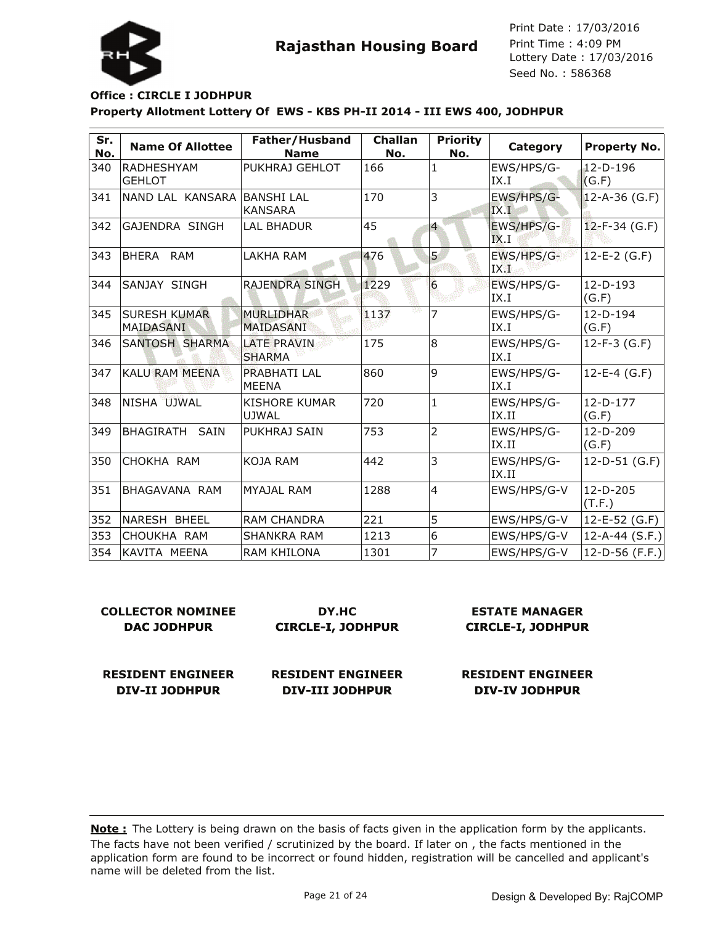

Lottery Date : 17/03/2016 Seed No. : 586368 Print Date : 17/03/2016 Print Time : 4:09 PM

### **Property Allotment Lottery Of EWS - KBS PH-II 2014 - III EWS 400, JODHPUR Office : CIRCLE I JODHPUR**

| Sr.<br>No. | <b>Name Of Allottee</b>          | Father/Husband<br><b>Name</b>        | <b>Challan</b><br>No. | <b>Priority</b><br>No. | Category            | Property No.        |
|------------|----------------------------------|--------------------------------------|-----------------------|------------------------|---------------------|---------------------|
| 340        | RADHESHYAM<br><b>GEHLOT</b>      | PUKHRAJ GEHLOT                       | 166                   | 1                      | EWS/HPS/G-<br>IX.I  | $12-D-196$<br>(G.F) |
| 341        | NAND LAL KANSARA  BANSHI LAL     | <b>KANSARA</b>                       | 170                   | 3                      | EWS/HPS/G-<br>IX.I  | 12-A-36 (G.F)       |
| 342        | GAJENDRA SINGH                   | LAL BHADUR                           | 45                    | $\overline{4}$         | EWS/HPS/G-<br>IX.I  | $12-F-34(G.F)$      |
| 343        | BHERA RAM                        | <b>LAKHA RAM</b>                     | 476                   | 5                      | EWS/HPS/G-<br>IX.1  | $12-E-2$ (G.F)      |
| 344        | SANJAY SINGH                     | <b>RAJENDRA SINGH</b>                | 1229                  | 6                      | EWS/HPS/G-<br>IX.I  | $12-D-193$<br>(G.F) |
| 345        | <b>SURESH KUMAR</b><br>MAIDASANI | <b>MURLIDHAR</b><br><b>MAIDASANI</b> | 1137                  | 7                      | EWS/HPS/G-<br>IX.I  | $12-D-194$<br>(G.F) |
| 346        | SANTOSH SHARMA                   | <b>LATE PRAVIN</b><br><b>SHARMA</b>  | 175                   | l8                     | EWS/HPS/G-<br>IX.I  | $12-F-3(G.F)$       |
| 347        | <b>KALU RAM MEENA</b>            | PRABHATI LAL<br><b>MEENA</b>         | 860                   | 9                      | EWS/HPS/G-<br>IX.I  | $12 - E - 4$ (G.F)  |
| 348        | NISHA UJWAL                      | <b>KISHORE KUMAR</b><br><b>UJWAL</b> | 720                   | $\mathbf{1}$           | EWS/HPS/G-<br>IX.II | $12-D-177$<br>(G.F) |
| 349        | BHAGIRATH SAIN                   | PUKHRAJ SAIN                         | 753                   | 2                      | EWS/HPS/G-<br>IX.II | $12-D-209$<br>(G.F) |
| 350        | CHOKHA RAM                       | <b>KOJA RAM</b>                      | 442                   | 3                      | EWS/HPS/G-<br>IX.II | $12-D-51$ (G.F)     |
| 351        | <b>BHAGAVANA RAM</b>             | <b>MYAJAL RAM</b>                    | 1288                  | $\overline{4}$         | EWS/HPS/G-V         | 12-D-205<br>(T.F.)  |
| 352        | NARESH BHEEL                     | <b>RAM CHANDRA</b>                   | 221                   | 5                      | EWS/HPS/G-V         | $12 - E - 52$ (G.F) |
| 353        | CHOUKHA RAM                      | <b>SHANKRA RAM</b>                   | 1213                  | 6                      | EWS/HPS/G-V         | $ 12-A-44(S.F.) $   |
| 354        | KAVITA MEENA                     | RAM KHILONA                          | 1301                  | 7                      | EWS/HPS/G-V         | $12-D-56$ (F.F.)    |

| <b>COLLECTOR NOMINEE</b> | DY.HC                    | <b>ESTATE MANAGER</b>    |  |
|--------------------------|--------------------------|--------------------------|--|
| <b>DAC JODHPUR</b>       | <b>CIRCLE-I, JODHPUR</b> | <b>CIRCLE-I, JODHPUR</b> |  |
| <b>RESIDENT ENGINEER</b> | <b>RESIDENT ENGINEER</b> | <b>RESIDENT ENGINEER</b> |  |
| <b>DIV-II JODHPUR</b>    | <b>DIV-III JODHPUR</b>   | <b>DIV-IV JODHPUR</b>    |  |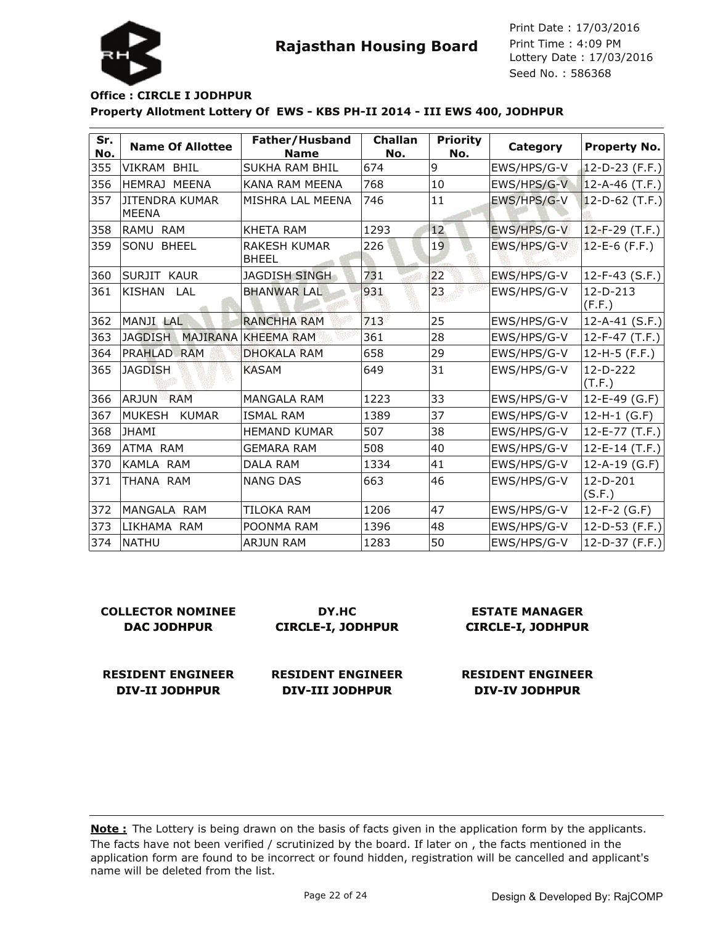

Lottery Date : 17/03/2016 Seed No. : 586368 Print Date : 17/03/2016 Print Time : 4:09 PM

#### **Property Allotment Lottery Of EWS - KBS PH-II 2014 - III EWS 400, JODHPUR Office : CIRCLE I JODHPUR**

| Sr.<br>No. | <b>Name Of Allottee</b>               | Father/Husband<br><b>Name</b>       | <b>Challan</b><br>No. | <b>Priority</b><br>No. | Category    | Property No.          |
|------------|---------------------------------------|-------------------------------------|-----------------------|------------------------|-------------|-----------------------|
| 355        | <b>VIKRAM BHIL</b>                    | <b>SUKHA RAM BHIL</b>               | 674                   | 9                      | EWS/HPS/G-V | 12-D-23 $(F.F.)$      |
| 356        | HEMRAJ MEENA                          | <b>KANA RAM MEENA</b>               | 768                   | 10                     | EWS/HPS/G-V | $ 12 - A - 46$ (T.F.) |
| 357        | <b>JITENDRA KUMAR</b><br><b>MEENA</b> | MISHRA LAL MEENA                    | 746                   | 11                     | EWS/HPS/G-V | $ 12-D-62$ (T.F.)     |
| 358        | RAMU RAM                              | <b>KHETA RAM</b>                    | 1293                  | 12                     | EWS/HPS/G-V | $12-F-29$ (T.F.)      |
| 359        | SONU BHEEL                            | <b>RAKESH KUMAR</b><br><b>BHEEL</b> | 226                   | 19                     | EWS/HPS/G-V | $12-E-6$ (F.F.)       |
| 360        | SURJIT KAUR                           | <b>JAGDISH SINGH</b>                | 731                   | 22                     | EWS/HPS/G-V | $12-F-43$ (S.F.)      |
| 361        | <b>KISHAN</b><br>LAL                  | <b>BHANWAR LAL</b>                  | 931                   | 23                     | EWS/HPS/G-V | $12-D-213$<br>(F.F.)  |
| 362        | MANJI LAL                             | <b>RANCHHA RAM</b>                  | 713                   | 25                     | EWS/HPS/G-V | $12-A-41$ (S.F.)      |
| 363        | <b>JAGDISH</b>                        | MAJIRANA KHEEMA RAM                 | 361                   | 28                     | EWS/HPS/G-V | 12-F-47 (T.F.)        |
| 364        | PRAHLAD RAM                           | <b>DHOKALA RAM</b>                  | 658                   | 29                     | EWS/HPS/G-V | $12-H-5$ (F.F.)       |
| 365        | <b>JAGDISH</b>                        | <b>KASAM</b>                        | 649                   | 31                     | EWS/HPS/G-V | 12-D-222<br>(T.F.)    |
| 366        | ARJUN<br><b>RAM</b>                   | <b>MANGALA RAM</b>                  | 1223                  | 33                     | EWS/HPS/G-V | $12 - E - 49$ (G.F)   |
| 367        | MUKESH<br><b>KUMAR</b>                | <b>ISMAL RAM</b>                    | 1389                  | 37                     | EWS/HPS/G-V | $12-H-1$ (G.F)        |
| 368        | JHAMI                                 | <b>HEMAND KUMAR</b>                 | 507                   | 38                     | EWS/HPS/G-V | 12-E-77 (T.F.)        |
| 369        | ATMA RAM                              | <b>GEMARA RAM</b>                   | 508                   | 40                     | EWS/HPS/G-V | $12 - E - 14$ (T.F.)  |
| 370        | KAMLA RAM                             | <b>DALA RAM</b>                     | 1334                  | 41                     | EWS/HPS/G-V | 12-A-19 $(G.F)$       |
| 371        | THANA RAM                             | <b>NANG DAS</b>                     | 663                   | 46                     | EWS/HPS/G-V | 12-D-201<br>(S.F.)    |
| 372        | MANGALA RAM                           | <b>TILOKA RAM</b>                   | 1206                  | 47                     | EWS/HPS/G-V | $12-F-2(G.F)$         |
| 373        | LIKHAMA RAM                           | POONMA RAM                          | 1396                  | 48                     | EWS/HPS/G-V | 12-D-53 $(F.F.)$      |
| 374        | <b>NATHU</b>                          | <b>ARJUN RAM</b>                    | 1283                  | 50                     | EWS/HPS/G-V | 12-D-37 $(F.F.)$      |

| <b>COLLECTOR NOMINEE</b> | DY.HC                    | <b>ESTATE MANAGER</b>    |
|--------------------------|--------------------------|--------------------------|
| <b>DAC JODHPUR</b>       | <b>CIRCLE-I, JODHPUR</b> | <b>CIRCLE-I, JODHPUR</b> |
| <b>RESIDENT ENGINEER</b> | <b>RESIDENT ENGINEER</b> | <b>RESIDENT ENGINEER</b> |

**DIV-III JODHPUR**

The facts have not been verified / scrutinized by the board. If later on , the facts mentioned in the application form are found to be incorrect or found hidden, registration will be cancelled and applicant's name will be deleted from the list. **Note :** The Lottery is being drawn on the basis of facts given in the application form by the applicants.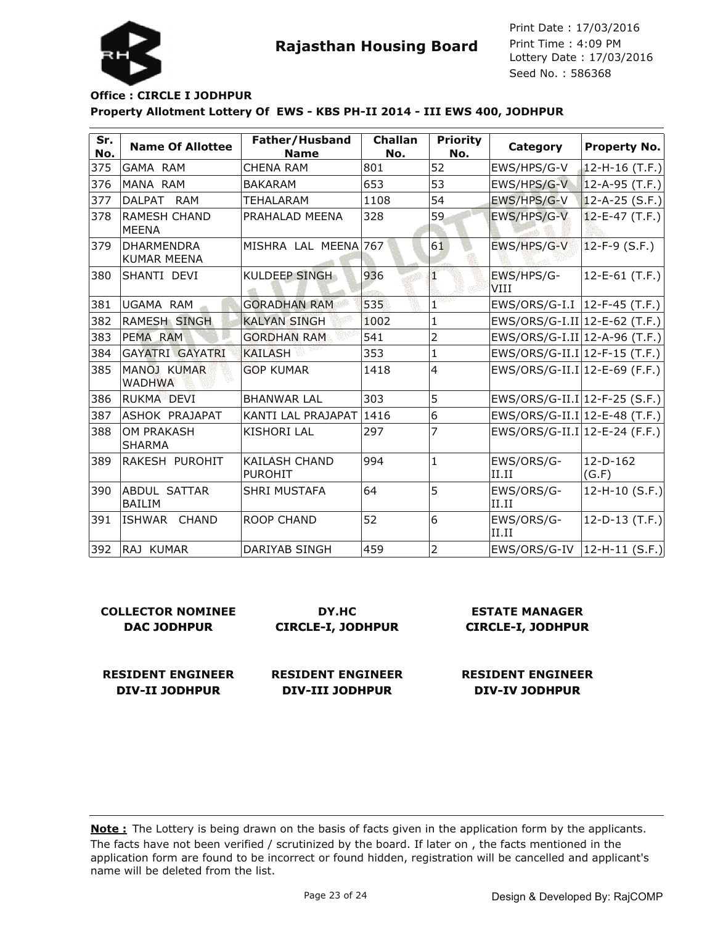

#### **Property Allotment Lottery Of EWS - KBS PH-II 2014 - III EWS 400, JODHPUR Office : CIRCLE I JODHPUR**

| Sr.<br>No. | <b>Name Of Allottee</b>                 | Father/Husband<br><b>Name</b>          | <b>Challan</b><br>No. | <b>Priority</b><br>No. | Category                        | <b>Property No.</b>    |
|------------|-----------------------------------------|----------------------------------------|-----------------------|------------------------|---------------------------------|------------------------|
| 375        | <b>GAMA RAM</b>                         | <b>CHENA RAM</b>                       | 801                   | 52                     | EWS/HPS/G-V                     | $ 12-H-16(T.F.) $      |
| 376        | MANA RAM                                | <b>BAKARAM</b>                         | 653                   | 53                     | EWS/HPS/G-V                     | $ 12 - A - 95 (T.F.) $ |
| 377        | DALPAT<br>RAM                           | TEHALARAM                              | 1108                  | 54                     | EWS/HPS/G-V                     | $ 12 - A - 25 (S.F.) $ |
| 378        | <b>RAMESH CHAND</b><br><b>MEENA</b>     | PRAHALAD MEENA                         | 328                   | 59                     | EWS/HPS/G-V                     | $12 - E - 47$ (T.F.)   |
| 379        | <b>DHARMENDRA</b><br><b>KUMAR MEENA</b> | MISHRA LAL MEENA 767                   |                       | 61                     | EWS/HPS/G-V                     | $12-F-9$ (S.F.)        |
| 380        | SHANTI DEVI                             | <b>KULDEEP SINGH</b>                   | 936                   | T                      | EWS/HPS/G-<br>VIII              | $12-E-61$ (T.F.)       |
| 381        | UGAMA RAM                               | <b>GORADHAN RAM</b>                    | 535                   | $\mathbf{1}^{\cdot}$   | EWS/ORS/G-I.I  12-F-45 (T.F.)   |                        |
| 382        | <b>RAMESH SINGH</b>                     | <b>KALYAN SINGH</b>                    | 1002                  | 1                      | EWS/ORS/G-I.II   12-E-62 (T.F.) |                        |
| 383        | PEMA RAM                                | <b>GORDHAN RAM</b>                     | 541                   | $\overline{2}$         | EWS/ORS/G-I.II   12-A-96 (T.F.) |                        |
| 384        | GAYATRI GAYATRI                         | <b>KAILASH</b>                         | 353                   | 1                      | EWS/ORS/G-II.I 12-F-15 (T.F.)   |                        |
| 385        | MANOJ KUMAR<br><b>WADHWA</b>            | <b>GOP KUMAR</b>                       | 1418                  | $\overline{4}$         | EWS/ORS/G-II.I 12-E-69 (F.F.)   |                        |
| 386        | RUKMA DEVI                              | <b>BHANWAR LAL</b>                     | 303                   | 5                      | EWS/ORS/G-II.I 12-F-25 (S.F.)   |                        |
| 387        | ASHOK PRAJAPAT                          | KANTI LAL PRAJAPAT                     | 1416                  | 6                      | EWS/ORS/G-II.I 12-E-48 (T.F.)   |                        |
| 388        | OM PRAKASH<br><b>SHARMA</b>             | <b>KISHORI LAL</b>                     | 297                   |                        | EWS/ORS/G-II.I 12-E-24 (F.F.)   |                        |
| 389        | RAKESH PUROHIT                          | <b>KAILASH CHAND</b><br><b>PUROHIT</b> | 994                   | 1                      | EWS/ORS/G-<br>II.II             | $12-D-162$<br>(G.F)    |
| 390        | ABDUL SATTAR<br><b>BAILIM</b>           | <b>SHRI MUSTAFA</b>                    | 64                    | 5                      | EWS/ORS/G-<br>II.II             | 12-H-10 (S.F.)         |
| 391        | ISHWAR<br><b>CHAND</b>                  | <b>ROOP CHAND</b>                      | 52                    | 6                      | EWS/ORS/G-<br>II.II             | $12-D-13$ (T.F.)       |
| 392        | IRAJ KUMAR                              | DARIYAB SINGH                          | 459                   | $\overline{2}$         | $EWS/ORS/G-IV$ 12-H-11 (S.F.)   |                        |

| COLLECTOR NOMINEE  | DY.HC                    |
|--------------------|--------------------------|
| <b>DAC JODHPUR</b> | <b>CIRCLE-I, JODHPUR</b> |
|                    |                          |

**ESTATE MANAGER CIRCLE-I, JODHPUR**

**RESIDENT ENGINEER DIV-II JODHPUR**

**RESIDENT ENGINEER DIV-III JODHPUR**

**RESIDENT ENGINEER DIV-IV JODHPUR**